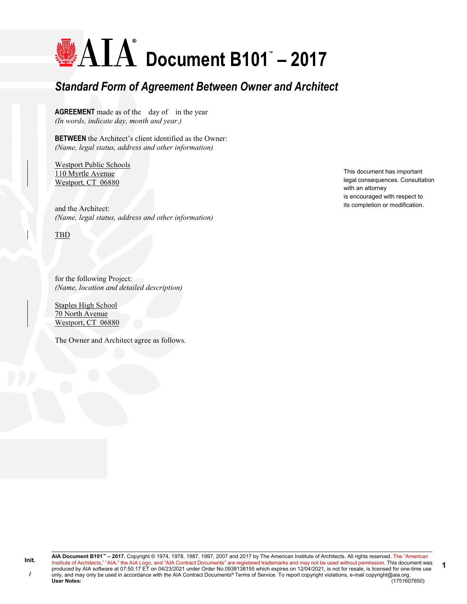# **Document B101™ – 2017**

# *Standard Form of Agreement Between Owner and Architect*

**AGREEMENT** made as of the day of in the year *(In words, indicate day, month and year.)*

**BETWEEN** the Architect's client identified as the Owner: *(Name, legal status, address and other information)*

Westport Public Schools 110 Myrtle Avenue Westport, CT 06880

and the Architect: *(Name, legal status, address and other information)*

TBD

for the following Project: *(Name, location and detailed description)*

Staples High School 70 North Avenue Westport, CT 06880

The Owner and Architect agree as follows.

This document has important legal consequences. Consultation with an attorney is encouraged with respect to its completion or modification.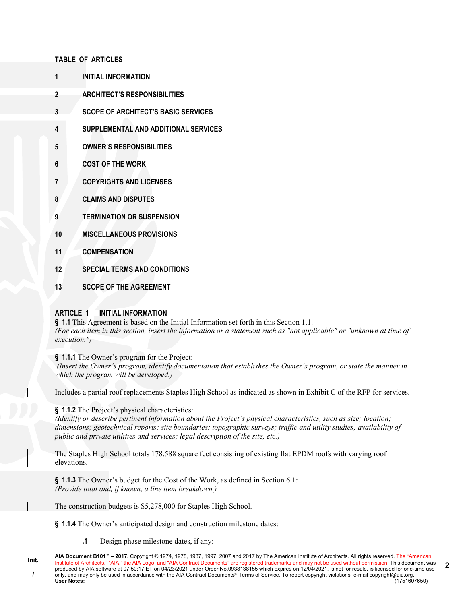#### **TABLE OF ARTICLES**

- **1 INITIAL INFORMATION**
- **2 ARCHITECT'S RESPONSIBILITIES**
- **3 SCOPE OF ARCHITECT'S BASIC SERVICES**
- **4 SUPPLEMENTAL AND ADDITIONAL SERVICES**
- **5 OWNER'S RESPONSIBILITIES**
- **6 COST OF THE WORK**
- **7 COPYRIGHTS AND LICENSES**
- **8 CLAIMS AND DISPUTES**
- **9 TERMINATION OR SUSPENSION**
- **10 MISCELLANEOUS PROVISIONS**
- **11 COMPENSATION**
- **12 SPECIAL TERMS AND CONDITIONS**
- **13 SCOPE OF THE AGREEMENT**

# **ARTICLE 1 INITIAL INFORMATION**

**§ 1.1** This Agreement is based on the Initial Information set forth in this Section 1.1. *(For each item in this section, insert the information or a statement such as "not applicable" or "unknown at time of execution.")*

**§ 1.1.1** The Owner's program for the Project:

 *(Insert the Owner's program, identify documentation that establishes the Owner's program, or state the manner in which the program will be developed.)*

Includes a partial roof replacements Staples High School as indicated as shown in Exhibit C of the RFP for services.

# **§ 1.1.2** The Project's physical characteristics:

*(Identify or describe pertinent information about the Project's physical characteristics, such as size; location; dimensions; geotechnical reports; site boundaries; topographic surveys; traffic and utility studies; availability of public and private utilities and services; legal description of the site, etc.)*

The Staples High School totals 178,588 square feet consisting of existing flat EPDM roofs with varying roof elevations.

**§ 1.1.3** The Owner's budget for the Cost of the Work, as defined in Section 6.1: *(Provide total and, if known, a line item breakdown.)*

The construction budgets is \$5,278,000 for Staples High School.

**§ 1.1.4** The Owner's anticipated design and construction milestone dates:

- **.1** Design phase milestone dates, if any:
- **AIA Document B101™ 2017.** Copyright © 1974, 1978, 1987, 1997, 2007 and 2017 by The American Institute of Architects. All rights reserved. The "American Institute of Architects," "AIA," the AIA Logo, and "AIA Contract Documents" are registered trademarks and may not be used without permission. This document was produced by AIA software at 07:50:17 ET on 04/23/2021 under Order No.0938138155 which expires on 12/04/2021, is not for resale, is licensed for one-time use only, and may only be used in accordance with the AIA Contract Documents® Terms of Service. To report copyright violations, e-mail copyright@aia.org. **User Notes:** (1751607650) **2**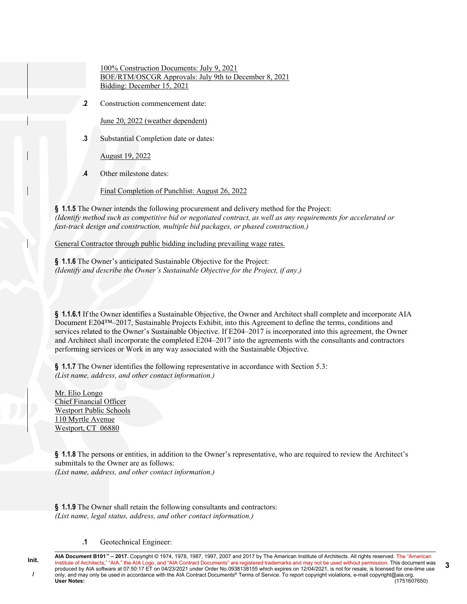100% Construction Documents: July 9, 2021 BOE/RTM/OSCGR Approvals: July 9th to December 8, 2021 Bidding: December 15, 2021

**.2** Construction commencement date:

June 20, 2022 (weather dependent)

**.3** Substantial Completion date or dates:

August 19, 2022

**.4** Other milestone dates:

Final Completion of Punchlist: August 26, 2022

**§ 1.1.5** The Owner intends the following procurement and delivery method for the Project: *(Identify method such as competitive bid or negotiated contract, as well as any requirements for accelerated or fast-track design and construction, multiple bid packages, or phased construction.)*

General Contractor through public bidding including prevailing wage rates.

**§ 1.1.6** The Owner's anticipated Sustainable Objective for the Project: *(Identify and describe the Owner's Sustainable Objective for the Project, if any.)*

**§ 1.1.6.1** If the Owner identifies a Sustainable Objective, the Owner and Architect shall complete and incorporate AIA Document E204™–2017, Sustainable Projects Exhibit, into this Agreement to define the terms, conditions and services related to the Owner's Sustainable Objective. If E204–2017 is incorporated into this agreement, the Owner and Architect shall incorporate the completed E204–2017 into the agreements with the consultants and contractors performing services or Work in any way associated with the Sustainable Objective.

**§ 1.1.7** The Owner identifies the following representative in accordance with Section 5.3: *(List name, address, and other contact information.)*

Mr. Elio Longo Chief Financial Officer Westport Public Schools 110 Myrtle Avenue Westport, CT 06880

**§ 1.1.8** The persons or entities, in addition to the Owner's representative, who are required to review the Architect's submittals to the Owner are as follows: *(List name, address, and other contact information.)*

**§ 1.1.9** The Owner shall retain the following consultants and contractors: *(List name, legal status, address, and other contact information.)*

#### **.1** Geotechnical Engineer: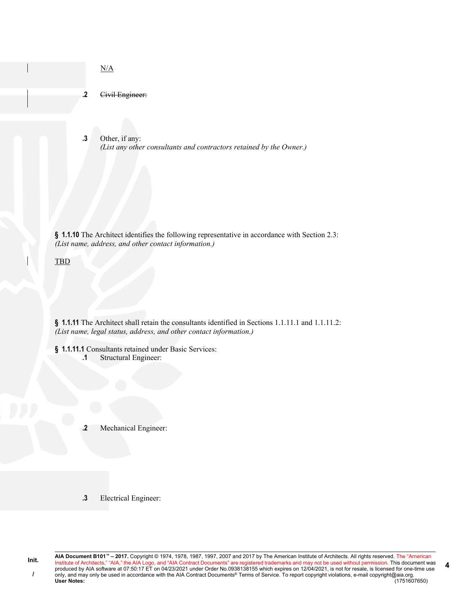N/A

**.2** Civil Engineer:

**.3** Other, if any: *(List any other consultants and contractors retained by the Owner.)*

**§ 1.1.10** The Architect identifies the following representative in accordance with Section 2.3: *(List name, address, and other contact information.)*

TBD

**§ 1.1.11** The Architect shall retain the consultants identified in Sections 1.1.11.1 and 1.1.11.2: *(List name, legal status, address, and other contact information.)*

§ 1.1.11.1 Consultants retained under Basic Services: **.1** Structural Engineer:

**.2** Mechanical Engineer:

**.3** Electrical Engineer: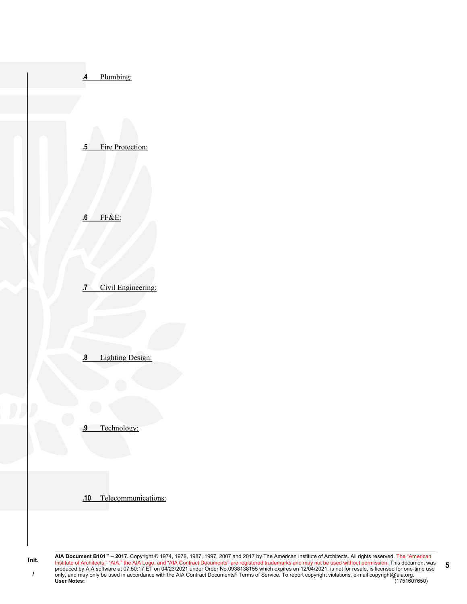**.4** Plumbing: **.5** Fire Protection: **.6** FF&E:

**.7** Civil Engineering:

**.8** Lighting Design:

**.9** Technology:

**.10** Telecommunications:

**Init. /**

**AIA Document B101™ – 2017.** Copyright © 1974, 1978, 1987, 1997, 2007 and 2017 by The American Institute of Architects. All rights reserved. The "American Institute of Architects," "AIA," the AIA Logo, and "AIA Contract Documents" are registered trademarks and may not be used without permission. This document was produced by AIA software at 07:50:17 ET on 04/23/2021 under Order No.0938138155 which expires on 12/04/2021, is not for resale, is licensed for one-time use<br>only, and may only be used in accordance with the AIA Contract Do **User Notes:** (1751607650) **5**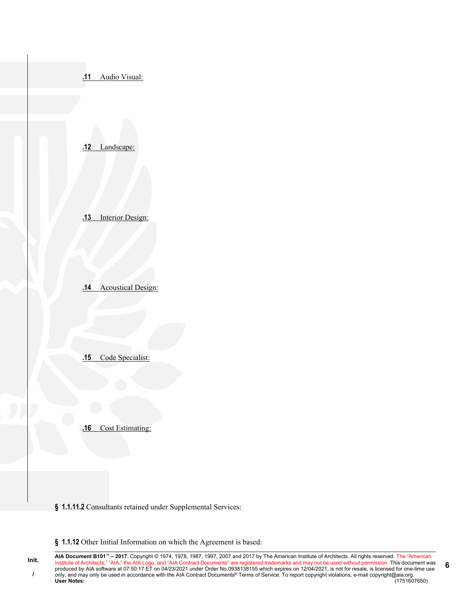**.11** Audio Visual:

**.12** Landscape:

**.13** Interior Design:

**.14** Acoustical Design:

**.15** Code Specialist:

**.16** Cost Estimating:

**§ 1.1.11.2** Consultants retained under Supplemental Services:

**§ 1.1.12** Other Initial Information on which the Agreement is based: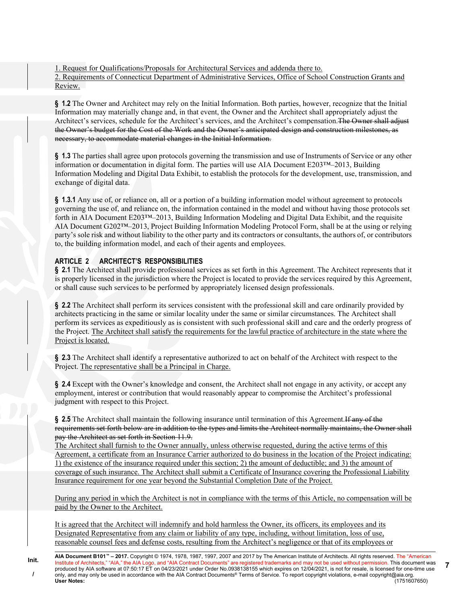1. Request for Qualifications/Proposals for Architectural Services and addenda there to.

2. Requirements of Connecticut Department of Administrative Services, Office of School Construction Grants and Review.

**§ 1.2** The Owner and Architect may rely on the Initial Information. Both parties, however, recognize that the Initial Information may materially change and, in that event, the Owner and the Architect shall appropriately adjust the Architect's services, schedule for the Architect's services, and the Architect's compensation. The Owner shall adjust the Owner's budget for the Cost of the Work and the Owner's anticipated design and construction milestones, as necessary, to accommodate material changes in the Initial Information.

**§ 1.3** The parties shall agree upon protocols governing the transmission and use of Instruments of Service or any other information or documentation in digital form. The parties will use AIA Document E203™–2013, Building Information Modeling and Digital Data Exhibit, to establish the protocols for the development, use, transmission, and exchange of digital data.

**§ 1.3.1** Any use of, or reliance on, all or a portion of a building information model without agreement to protocols governing the use of, and reliance on, the information contained in the model and without having those protocols set forth in AIA Document E203™–2013, Building Information Modeling and Digital Data Exhibit, and the requisite AIA Document G202™–2013, Project Building Information Modeling Protocol Form, shall be at the using or relying party's sole risk and without liability to the other party and its contractors or consultants, the authors of, or contributors to, the building information model, and each of their agents and employees.

# **ARTICLE 2 ARCHITECT'S RESPONSIBILITIES**

**§ 2.1** The Architect shall provide professional services as set forth in this Agreement. The Architect represents that it is properly licensed in the jurisdiction where the Project is located to provide the services required by this Agreement, or shall cause such services to be performed by appropriately licensed design professionals.

**§ 2.2** The Architect shall perform its services consistent with the professional skill and care ordinarily provided by architects practicing in the same or similar locality under the same or similar circumstances. The Architect shall perform its services as expeditiously as is consistent with such professional skill and care and the orderly progress of the Project. The Architect shall satisfy the requirements for the lawful practice of architecture in the state where the Project is located.

**§ 2.3** The Architect shall identify a representative authorized to act on behalf of the Architect with respect to the Project. The representative shall be a Principal in Charge.

**§ 2.4** Except with the Owner's knowledge and consent, the Architect shall not engage in any activity, or accept any employment, interest or contribution that would reasonably appear to compromise the Architect's professional judgment with respect to this Project.

**§ 2.5** The Architect shall maintain the following insurance until termination of this Agreement.If any of the requirements set forth below are in addition to the types and limits the Architect normally maintains, the Owner shall pay the Architect as set forth in Section 11.9.

The Architect shall furnish to the Owner annually, unless otherwise requested, during the active terms of this Agreement, a certificate from an Insurance Carrier authorized to do business in the location of the Project indicating: 1) the existence of the insurance required under this section; 2) the amount of deductible; and 3) the amount of coverage of such insurance. The Architect shall submit a Certificate of Insurance covering the Professional Liability Insurance requirement for one year beyond the Substantial Completion Date of the Project.

During any period in which the Architect is not in compliance with the terms of this Article, no compensation will be paid by the Owner to the Architect.

It is agreed that the Architect will indemnify and hold harmless the Owner, its officers, its employees and its Designated Representative from any claim or liability of any type, including, without limitation, loss of use, reasonable counsel fees and defense costs, resulting from the Architect's negligence or that of its employees or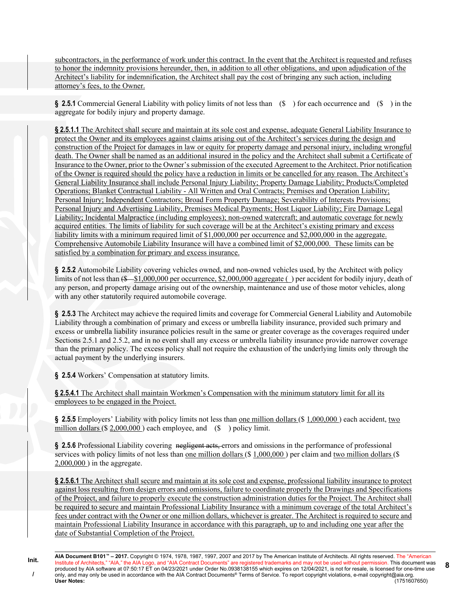subcontractors, in the performance of work under this contract. In the event that the Architect is requested and refuses to honor the indemnity provisions hereunder, then, in addition to all other obligations, and upon adjudication of the Architect's liability for indemnification, the Architect shall pay the cost of bringing any such action, including attorney's fees, to the Owner.

**§ 2.5.1** Commercial General Liability with policy limits of not less than (\$ ) for each occurrence and (\$ ) in the aggregate for bodily injury and property damage.

**§ 2.5.1.1** The Architect shall secure and maintain at its sole cost and expense, adequate General Liability Insurance to protect the Owner and its employees against claims arising out of the Architect's services during the design and construction of the Project for damages in law or equity for property damage and personal injury, including wrongful death. The Owner shall be named as an additional insured in the policy and the Architect shall submit a Certificate of Insurance to the Owner, prior to the Owner's submission of the executed Agreement to the Architect. Prior notification of the Owner is required should the policy have a reduction in limits or be cancelled for any reason. The Architect's General Liability Insurance shall include Personal Injury Liability; Property Damage Liability; Products/Completed Operations; Blanket Contractual Liability - All Written and Oral Contracts; Premises and Operation Liability; Personal Injury; Independent Contractors; Broad Form Property Damage; Severability of Interests Provisions; Personal Injury and Advertising Liability, Premises Medical Payments; Host Liquor Liability; Fire Damage Legal Liability; Incidental Malpractice (including employees); non-owned watercraft; and automatic coverage for newly acquired entities. The limits of liability for such coverage will be at the Architect's existing primary and excess liability limits with a minimum required limit of \$1,000,000 per occurrence and \$2,000,000 in the aggregate. Comprehensive Automobile Liability Insurance will have a combined limit of \$2,000,000. These limits can be satisfied by a combination for primary and excess insurance.

**§ 2.5.2** Automobile Liability covering vehicles owned, and non-owned vehicles used, by the Architect with policy limits of not less than  $(\frac{6}{5}, \frac{1000,000}{10})$  per occurrence, \$2,000,000 aggregate () per accident for bodily injury, death of any person, and property damage arising out of the ownership, maintenance and use of those motor vehicles, along with any other statutorily required automobile coverage.

**§ 2.5.3** The Architect may achieve the required limits and coverage for Commercial General Liability and Automobile Liability through a combination of primary and excess or umbrella liability insurance, provided such primary and excess or umbrella liability insurance policies result in the same or greater coverage as the coverages required under Sections 2.5.1 and 2.5.2, and in no event shall any excess or umbrella liability insurance provide narrower coverage than the primary policy. The excess policy shall not require the exhaustion of the underlying limits only through the actual payment by the underlying insurers.

**§ 2.5.4** Workers' Compensation at statutory limits.

**Init. /**

**§ 2.5.4.1** The Architect shall maintain Workmen's Compensation with the minimum statutory limit for all its employees to be engaged in the Project.

**§ 2.5.5** Employers' Liability with policy limits not less than one million dollars (\$ 1,000,000 ) each accident, two million dollars (\$ 2,000,000) each employee, and (\$) policy limit.

§ 2.5.6 Professional Liability covering negligent acts, errors and omissions in the performance of professional services with policy limits of not less than one million dollars (\$1,000,000) per claim and two million dollars (\$  $2,000,000$ ) in the aggregate.

**§ 2.5.6.1** The Architect shall secure and maintain at its sole cost and expense, professional liability insurance to protect against loss resulting from design errors and omissions, failure to coordinate properly the Drawings and Specifications of the Project, and failure to properly execute the construction administration duties for the Project. The Architect shall be required to secure and maintain Professional Liability Insurance with a minimum coverage of the total Architect's fees under contract with the Owner or one million dollars, whichever is greater. The Architect is required to secure and maintain Professional Liability Insurance in accordance with this paragraph, up to and including one year after the date of Substantial Completion of the Project.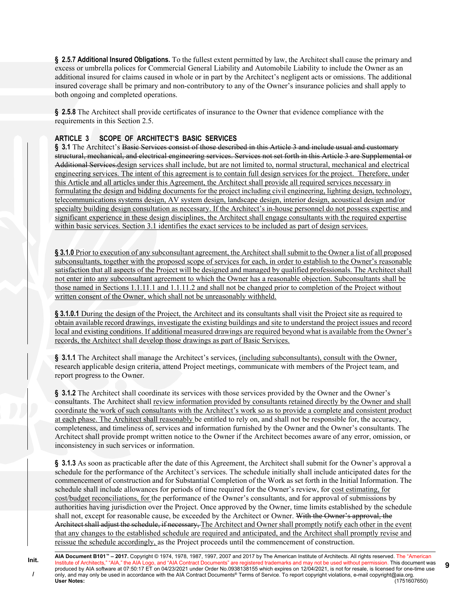**§ 2.5.7 Additional Insured Obligations.** To the fullest extent permitted by law, the Architect shall cause the primary and excess or umbrella polices for Commercial General Liability and Automobile Liability to include the Owner as an additional insured for claims caused in whole or in part by the Architect's negligent acts or omissions. The additional insured coverage shall be primary and non-contributory to any of the Owner's insurance policies and shall apply to both ongoing and completed operations.

**§ 2.5.8** The Architect shall provide certificates of insurance to the Owner that evidence compliance with the requirements in this Section 2.5.

# **ARTICLE 3 SCOPE OF ARCHITECT'S BASIC SERVICES**

§ 3.1 The Architect's Basic Services consist of those described in this Article 3 and include usual and customary structural, mechanical, and electrical engineering services. Services not set forth in this Article 3 are Supplemental or Additional Services.design services shall include, but are not limited to, normal structural, mechanical and electrical engineering services. The intent of this agreement is to contain full design services for the project. Therefore, under this Article and all articles under this Agreement, the Architect shall provide all required services necessary in formulating the design and bidding documents for the project including civil engineering, lighting design, technology, telecommunications systems design, AV system design, landscape design, interior design, acoustical design and/or specialty building design consultation as necessary. If the Architect's in-house personnel do not possess expertise and significant experience in these design disciplines, the Architect shall engage consultants with the required expertise within basic services. Section 3.1 identifies the exact services to be included as part of design services.

**§ 3.1.0** Prior to execution of any subconsultant agreement, the Architect shall submit to the Owner a list of all proposed subconsultants, together with the proposed scope of services for each, in order to establish to the Owner's reasonable satisfaction that all aspects of the Project will be designed and managed by qualified professionals. The Architect shall not enter into any subconsultant agreement to which the Owner has a reasonable objection. Subconsultants shall be those named in Sections 1.1.11.1 and 1.1.11.2 and shall not be changed prior to completion of the Project without written consent of the Owner, which shall not be unreasonably withheld.

**§ 3.1.0.1** During the design of the Project, the Architect and its consultants shall visit the Project site as required to obtain available record drawings, investigate the existing buildings and site to understand the project issues and record local and existing conditions. If additional measured drawings are required beyond what is available from the Owner's records, the Architect shall develop those drawings as part of Basic Services.

**§ 3.1.1** The Architect shall manage the Architect's services, (including subconsultants), consult with the Owner, research applicable design criteria, attend Project meetings, communicate with members of the Project team, and report progress to the Owner.

**§ 3.1.2** The Architect shall coordinate its services with those services provided by the Owner and the Owner's consultants. The Architect shall review information provided by consultants retained directly by the Owner and shall coordinate the work of such consultants with the Architect's work so as to provide a complete and consistent product at each phase. The Architect shall reasonably be entitled to rely on, and shall not be responsible for, the accuracy, completeness, and timeliness of, services and information furnished by the Owner and the Owner's consultants. The Architect shall provide prompt written notice to the Owner if the Architect becomes aware of any error, omission, or inconsistency in such services or information.

**§ 3.1.3** As soon as practicable after the date of this Agreement, the Architect shall submit for the Owner's approval a schedule for the performance of the Architect's services. The schedule initially shall include anticipated dates for the commencement of construction and for Substantial Completion of the Work as set forth in the Initial Information. The schedule shall include allowances for periods of time required for the Owner's review, for cost estimating, for cost/budget reconciliations, for the performance of the Owner's consultants, and for approval of submissions by authorities having jurisdiction over the Project. Once approved by the Owner, time limits established by the schedule shall not, except for reasonable cause, be exceeded by the Architect or Owner. With the Owner's approval, the Architect shall adjust the schedule, if necessary, The Architect and Owner shall promptly notify each other in the event that any changes to the established schedule are required and anticipated, and the Architect shall promptly revise and reissue the schedule accordingly, as the Project proceeds until the commencement of construction.

**9**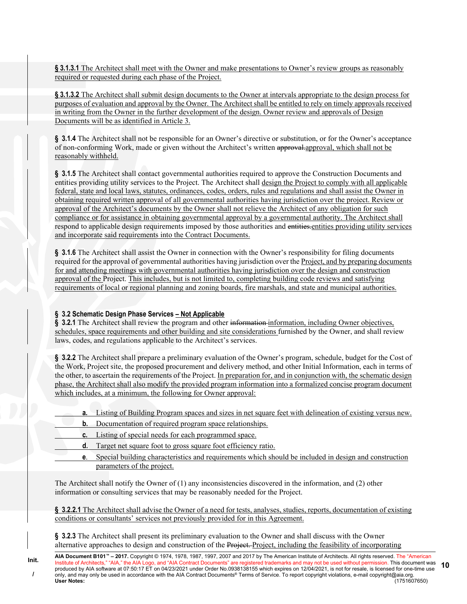**§ 3.1.3.1** The Architect shall meet with the Owner and make presentations to Owner's review groups as reasonably required or requested during each phase of the Project.

**§ 3.1.3.2** The Architect shall submit design documents to the Owner at intervals appropriate to the design process for purposes of evaluation and approval by the Owner. The Architect shall be entitled to rely on timely approvals received in writing from the Owner in the further development of the design. Owner review and approvals of Design Documents will be as identified in Article 3.

**§ 3.1.4** The Architect shall not be responsible for an Owner's directive or substitution, or for the Owner's acceptance of non-conforming Work, made or given without the Architect's written approval. approval, which shall not be reasonably withheld.

§ 3.1.5 The Architect shall contact governmental authorities required to approve the Construction Documents and entities providing utility services to the Project. The Architect shall design the Project to comply with all applicable federal, state and local laws, statutes, ordinances, codes, orders, rules and regulations and shall assist the Owner in obtaining required written approval of all governmental authorities having jurisdiction over the project. Review or approval of the Architect's documents by the Owner shall not relieve the Architect of any obligation for such compliance or for assistance in obtaining governmental approval by a governmental authority. The Architect shall respond to applicable design requirements imposed by those authorities and entities.entities providing utility services and incorporate said requirements into the Contract Documents.

**§ 3.1.6** The Architect shall assist the Owner in connection with the Owner's responsibility for filing documents required for the approval of governmental authorities having jurisdiction over the Project, and by preparing documents for and attending meetings with governmental authorities having jurisdiction over the design and construction approval of the Project. This includes, but is not limited to, completing building code reviews and satisfying requirements of local or regional planning and zoning boards, fire marshals, and state and municipal authorities.

# **§ 3.2 Schematic Design Phase Services – Not Applicable**

§ 3.2.1 The Architect shall review the program and other information-information, including Owner objectives, schedules, space requirements and other building and site considerations furnished by the Owner, and shall review laws, codes, and regulations applicable to the Architect's services.

**§ 3.2.2** The Architect shall prepare a preliminary evaluation of the Owner's program, schedule, budget for the Cost of the Work, Project site, the proposed procurement and delivery method, and other Initial Information, each in terms of the other, to ascertain the requirements of the Project. In preparation for, and in conjunction with, the schematic design phase, the Architect shall also modify the provided program information into a formalized concise program document which includes, at a minimum, the following for Owner approval:

|  |  |  |  |  |  | <b>a.</b> Listing of Building Program spaces and sizes in net square feet with delineation of existing versus new. |
|--|--|--|--|--|--|--------------------------------------------------------------------------------------------------------------------|
|  |  |  |  |  |  |                                                                                                                    |

- **b.** Documentation of required program space relationships.
- **c.** Listing of special needs for each programmed space.
- **d.** Target net square foot to gross square foot efficiency ratio.
	- **e**. Special building characteristics and requirements which should be included in design and construction parameters of the project.

The Architect shall notify the Owner of (1) any inconsistencies discovered in the information, and (2) other information or consulting services that may be reasonably needed for the Project.

**§ 3.2.2.1** The Architect shall advise the Owner of a need for tests, analyses, studies, reports, documentation of existing conditions or consultants' services not previously provided for in this Agreement.

**§ 3.2.3** The Architect shall present its preliminary evaluation to the Owner and shall discuss with the Owner alternative approaches to design and construction of the Project. Project, including the feasibility of incorporating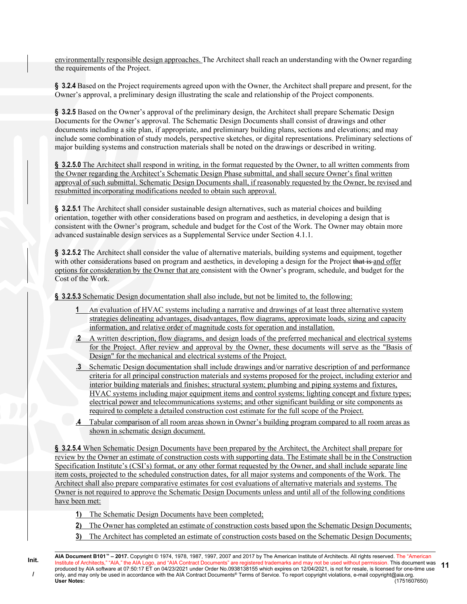environmentally responsible design approaches. The Architect shall reach an understanding with the Owner regarding the requirements of the Project.

**§ 3.2.4** Based on the Project requirements agreed upon with the Owner, the Architect shall prepare and present, for the Owner's approval, a preliminary design illustrating the scale and relationship of the Project components.

**§ 3.2.5** Based on the Owner's approval of the preliminary design, the Architect shall prepare Schematic Design Documents for the Owner's approval. The Schematic Design Documents shall consist of drawings and other documents including a site plan, if appropriate, and preliminary building plans, sections and elevations; and may include some combination of study models, perspective sketches, or digital representations. Preliminary selections of major building systems and construction materials shall be noted on the drawings or described in writing.

**§ 3.2.5.0** The Architect shall respond in writing, in the format requested by the Owner, to all written comments from the Owner regarding the Architect's Schematic Design Phase submittal, and shall secure Owner's final written approval of such submittal. Schematic Design Documents shall, if reasonably requested by the Owner, be revised and resubmitted incorporating modifications needed to obtain such approval.

**§ 3.2.5.1** The Architect shall consider sustainable design alternatives, such as material choices and building orientation, together with other considerations based on program and aesthetics, in developing a design that is consistent with the Owner's program, schedule and budget for the Cost of the Work. The Owner may obtain more advanced sustainable design services as a Supplemental Service under Section 4.1.1.

**§ 3.2.5.2** The Architect shall consider the value of alternative materials, building systems and equipment, together with other considerations based on program and aesthetics, in developing a design for the Project that is and offer options for consideration by the Owner that are consistent with the Owner's program, schedule, and budget for the Cost of the Work.

**§ 3.2.5.3** Schematic Design documentation shall also include, but not be limited to, the following:

- **1** An evaluation of HVAC systems including a narrative and drawings of at least three alternative system strategies delineating advantages, disadvantages, flow diagrams, approximate loads, sizing and capacity information, and relative order of magnitude costs for operation and installation.
- **.2** A written description, flow diagrams, and design loads of the preferred mechanical and electrical systems for the Project. After review and approval by the Owner, these documents will serve as the "Basis of Design" for the mechanical and electrical systems of the Project.
- **.3** Schematic Design documentation shall include drawings and/or narrative description of and performance criteria for all principal construction materials and systems proposed for the project, including exterior and interior building materials and finishes; structural system; plumbing and piping systems and fixtures, HVAC systems including major equipment items and control systems; lighting concept and fixture types; electrical power and telecommunications systems; and other significant building or site components as required to complete a detailed construction cost estimate for the full scope of the Project.
- **.4** Tabular comparison of all room areas shown in Owner's building program compared to all room areas as shown in schematic design document.

**§ 3.2.5.4** When Schematic Design Documents have been prepared by the Architect, the Architect shall prepare for review by the Owner an estimate of construction costs with supporting data. The Estimate shall be in the Construction Specification Institute's (CSI's) format, or any other format requested by the Owner, and shall include separate line item costs, projected to the scheduled construction dates, for all major systems and components of the Work. The Architect shall also prepare comparative estimates for cost evaluations of alternative materials and systems. The Owner is not required to approve the Schematic Design Documents unless and until all of the following conditions have been met:

- **1)** The Schematic Design Documents have been completed;
- **2)** The Owner has completed an estimate of construction costs based upon the Schematic Design Documents;
- **3)** The Architect has completed an estimate of construction costs based on the Schematic Design Documents;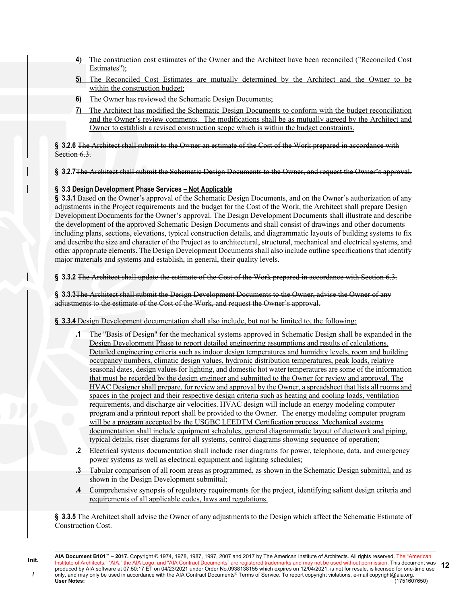- **4)** The construction cost estimates of the Owner and the Architect have been reconciled ("Reconciled Cost Estimates");
- **5)** The Reconciled Cost Estimates are mutually determined by the Architect and the Owner to be within the construction budget;
- **6)** The Owner has reviewed the Schematic Design Documents;
- **7)** The Architect has modified the Schematic Design Documents to conform with the budget reconciliation and the Owner's review comments. The modifications shall be as mutually agreed by the Architect and Owner to establish a revised construction scope which is within the budget constraints.

**§ 3.2.6** The Architect shall submit to the Owner an estimate of the Cost of the Work prepared in accordance with Section 6.3.

**§ 3.2.7**The Architect shall submit the Schematic Design Documents to the Owner, and request the Owner's approval.

### **§ 3.3 Design Development Phase Services – Not Applicable**

**§ 3.3.1** Based on the Owner's approval of the Schematic Design Documents, and on the Owner's authorization of any adjustments in the Project requirements and the budget for the Cost of the Work, the Architect shall prepare Design Development Documents for the Owner's approval. The Design Development Documents shall illustrate and describe the development of the approved Schematic Design Documents and shall consist of drawings and other documents including plans, sections, elevations, typical construction details, and diagrammatic layouts of building systems to fix and describe the size and character of the Project as to architectural, structural, mechanical and electrical systems, and other appropriate elements. The Design Development Documents shall also include outline specifications that identify major materials and systems and establish, in general, their quality levels.

**§ 3.3.2** The Architect shall update the estimate of the Cost of the Work prepared in accordance with Section 6.3.

**§ 3.3.3**The Architect shall submit the Design Development Documents to the Owner, advise the Owner of any adjustments to the estimate of the Cost of the Work, and request the Owner's approval.

**§ 3.3.4** Design Development documentation shall also include, but not be limited to, the following:

- **.1** The "Basis of Design" for the mechanical systems approved in Schematic Design shall be expanded in the Design Development Phase to report detailed engineering assumptions and results of calculations. Detailed engineering criteria such as indoor design temperatures and humidity levels, room and building occupancy numbers, climatic design values, hydronic distribution temperatures, peak loads, relative seasonal dates, design values for lighting, and domestic hot water temperatures are some of the information that must be recorded by the design engineer and submitted to the Owner for review and approval. The HVAC Designer shall prepare, for review and approval by the Owner, a spreadsheet that lists all rooms and spaces in the project and their respective design criteria such as heating and cooling loads, ventilation requirements, and discharge air velocities. HVAC design will include an energy modeling computer program and a printout report shall be provided to the Owner. The energy modeling computer program will be a program accepted by the USGBC LEEDTM Certification process. Mechanical systems documentation shall include equipment schedules, general diagrammatic layout of ductwork and piping, typical details, riser diagrams for all systems, control diagrams showing sequence of operation;
- **.2** Electrical systems documentation shall include riser diagrams for power, telephone, data, and emergency power systems as well as electrical equipment and lighting schedules;
- **.3** Tabular comparison of all room areas as programmed, as shown in the Schematic Design submittal, and as shown in the Design Development submittal;
- **.4** Comprehensive synopsis of regulatory requirements for the project, identifying salient design criteria and requirements of all applicable codes, laws and regulations.

**§ 3.3.5** The Architect shall advise the Owner of any adjustments to the Design which affect the Schematic Estimate of Construction Cost.

**AIA Document B101™ – 2017.** Copyright © 1974, 1978, 1987, 1997, 2007 and 2017 by The American Institute of Architects. All rights reserved. The "American Institute of Architects," "AIA," the AIA Logo, and "AIA Contract Documents" are registered trademarks and may not be used without permission. This document was produced by AIA software at 07:50:17 ET on 04/23/2021 under Order No.0938138155 which expires on 12/04/2021, is not for resale, is licensed for one-time use only, and may only be used in accordance with the AIA Contract Documents® Terms of Service. To report copyright violations, e-mail copyright@aia.org. **User Notes:** (1751607650) **12**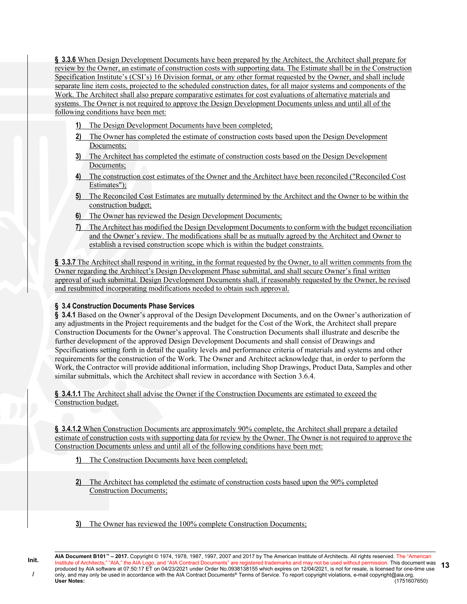**§ 3.3.6** When Design Development Documents have been prepared by the Architect, the Architect shall prepare for review by the Owner, an estimate of construction costs with supporting data. The Estimate shall be in the Construction Specification Institute's (CSI's) 16 Division format, or any other format requested by the Owner, and shall include separate line item costs, projected to the scheduled construction dates, for all major systems and components of the Work. The Architect shall also prepare comparative estimates for cost evaluations of alternative materials and systems. The Owner is not required to approve the Design Development Documents unless and until all of the following conditions have been met:

- **1)** The Design Development Documents have been completed;
- **2)** The Owner has completed the estimate of construction costs based upon the Design Development Documents;
- **3)** The Architect has completed the estimate of construction costs based on the Design Development Documents;
- **4)** The construction cost estimates of the Owner and the Architect have been reconciled ("Reconciled Cost Estimates");
- **5)** The Reconciled Cost Estimates are mutually determined by the Architect and the Owner to be within the construction budget;
- **6)** The Owner has reviewed the Design Development Documents;
- **7)** The Architect has modified the Design Development Documents to conform with the budget reconciliation and the Owner's review. The modifications shall be as mutually agreed by the Architect and Owner to establish a revised construction scope which is within the budget constraints.

§ 3.3.7 The Architect shall respond in writing, in the format requested by the Owner, to all written comments from the Owner regarding the Architect's Design Development Phase submittal, and shall secure Owner's final written approval of such submittal. Design Development Documents shall, if reasonably requested by the Owner, be revised and resubmitted incorporating modifications needed to obtain such approval.

#### **§ 3.4 Construction Documents Phase Services**

**§ 3.4.1** Based on the Owner's approval of the Design Development Documents, and on the Owner's authorization of any adjustments in the Project requirements and the budget for the Cost of the Work, the Architect shall prepare Construction Documents for the Owner's approval. The Construction Documents shall illustrate and describe the further development of the approved Design Development Documents and shall consist of Drawings and Specifications setting forth in detail the quality levels and performance criteria of materials and systems and other requirements for the construction of the Work. The Owner and Architect acknowledge that, in order to perform the Work, the Contractor will provide additional information, including Shop Drawings, Product Data, Samples and other similar submittals, which the Architect shall review in accordance with Section 3.6.4.

**§ 3.4.1.1** The Architect shall advise the Owner if the Construction Documents are estimated to exceed the Construction budget.

**§ 3.4.1.2** When Construction Documents are approximately 90% complete, the Architect shall prepare a detailed estimate of construction costs with supporting data for review by the Owner. The Owner is not required to approve the Construction Documents unless and until all of the following conditions have been met:

**1)** The Construction Documents have been completed;

- **2)** The Architect has completed the estimate of construction costs based upon the 90% completed Construction Documents;
- **3)** The Owner has reviewed the 100% complete Construction Documents;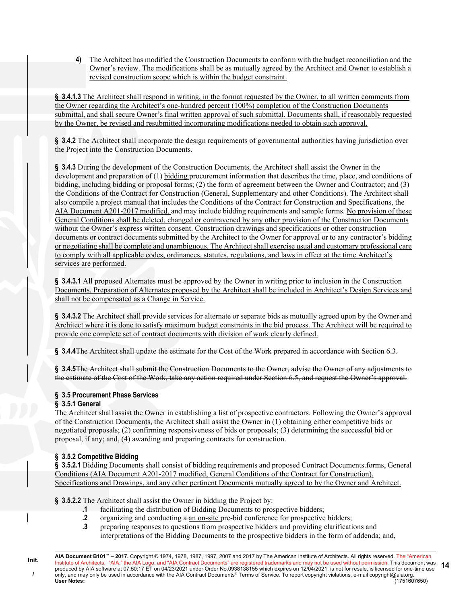**4)** The Architect has modified the Construction Documents to conform with the budget reconciliation and the Owner's review. The modifications shall be as mutually agreed by the Architect and Owner to establish a revised construction scope which is within the budget constraint.

**§ 3.4.1.3** The Architect shall respond in writing, in the format requested by the Owner, to all written comments from the Owner regarding the Architect's one-hundred percent (100%) completion of the Construction Documents submittal, and shall secure Owner's final written approval of such submittal. Documents shall, if reasonably requested by the Owner, be revised and resubmitted incorporating modifications needed to obtain such approval.

**§ 3.4.2** The Architect shall incorporate the design requirements of governmental authorities having jurisdiction over the Project into the Construction Documents.

**§ 3.4.3** During the development of the Construction Documents, the Architect shall assist the Owner in the development and preparation of (1) bidding procurement information that describes the time, place, and conditions of bidding, including bidding or proposal forms; (2) the form of agreement between the Owner and Contractor; and (3) the Conditions of the Contract for Construction (General, Supplementary and other Conditions). The Architect shall also compile a project manual that includes the Conditions of the Contract for Construction and Specifications, the AIA Document A201-2017 modified, and may include bidding requirements and sample forms. No provision of these General Conditions shall be deleted, changed or contravened by any other provision of the Construction Documents without the Owner's express written consent. Construction drawings and specifications or other construction documents or contract documents submitted by the Architect to the Owner for approval or to any contractor's bidding or negotiating shall be complete and unambiguous. The Architect shall exercise usual and customary professional care to comply with all applicable codes, ordinances, statutes, regulations, and laws in effect at the time Architect's services are performed.

**§ 3.4.3.1** All proposed Alternates must be approved by the Owner in writing prior to inclusion in the Construction Documents. Preparation of Alternates proposed by the Architect shall be included in Architect's Design Services and shall not be compensated as a Change in Service.

**§ 3.4.3.2** The Architect shall provide services for alternate or separate bids as mutually agreed upon by the Owner and Architect where it is done to satisfy maximum budget constraints in the bid process. The Architect will be required to provide one complete set of contract documents with division of work clearly defined.

**§ 3.4.4**The Architect shall update the estimate for the Cost of the Work prepared in accordance with Section 6.3.

**§ 3.4.5**The Architect shall submit the Construction Documents to the Owner, advise the Owner of any adjustments to the estimate of the Cost of the Work, take any action required under Section 6.5, and request the Owner's approval.

# **§ 3.5 Procurement Phase Services**

# **§ 3.5.1 General**

**Init. /**

The Architect shall assist the Owner in establishing a list of prospective contractors. Following the Owner's approval of the Construction Documents, the Architect shall assist the Owner in (1) obtaining either competitive bids or negotiated proposals; (2) confirming responsiveness of bids or proposals; (3) determining the successful bid or proposal, if any; and, (4) awarding and preparing contracts for construction.

# **§ 3.5.2 Competitive Bidding**

§ 3.5.2.1 Bidding Documents shall consist of bidding requirements and proposed Contract <del>Documents.forms, General</del> Conditions (AIA Document A201-2017 modified, General Conditions of the Contract for Construction), Specifications and Drawings, and any other pertinent Documents mutually agreed to by the Owner and Architect.

**§ 3.5.2.2** The Architect shall assist the Owner in bidding the Project by:

- **.1** facilitating the distribution of Bidding Documents to prospective bidders;
- **2** organizing and conducting  $a$ -an on-site pre-bid conference for prospective bidders;
- **.3** preparing responses to questions from prospective bidders and providing clarifications and interpretations of the Bidding Documents to the prospective bidders in the form of addenda; and,

**AIA Document B101™ – 2017.** Copyright © 1974, 1978, 1987, 1997, 2007 and 2017 by The American Institute of Architects. All rights reserved. The "American Institute of Architects," "AIA," the AIA Logo, and "AIA Contract Documents" are registered trademarks and may not be used without permission. This document was produced by AIA software at 07:50:17 ET on 04/23/2021 under Order No.0938138155 which expires on 12/04/2021, is not for resale, is licensed for one-time use only, and may only be used in accordance with the AIA Contract Documents® Terms of Service. To report copyright violations, e-mail copyright@aia.org. **User Notes:** (1751607650) **14**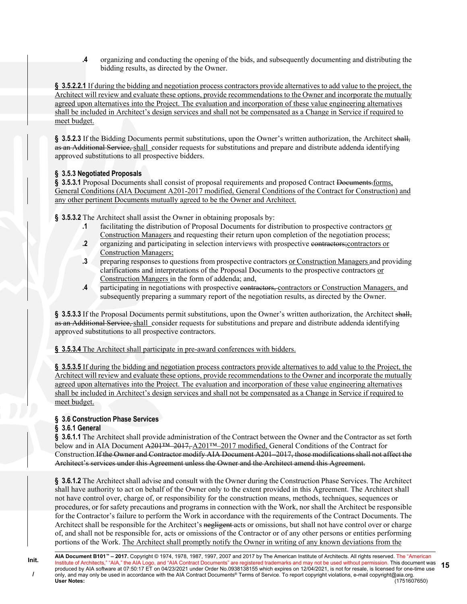**.4** organizing and conducting the opening of the bids, and subsequently documenting and distributing the bidding results, as directed by the Owner.

**§ 3.5.2.2.1** If during the bidding and negotiation process contractors provide alternatives to add value to the project, the Architect will review and evaluate these options, provide recommendations to the Owner and incorporate the mutually agreed upon alternatives into the Project. The evaluation and incorporation of these value engineering alternatives shall be included in Architect's design services and shall not be compensated as a Change in Service if required to meet budget.

**§ 3.5.2.3** If the Bidding Documents permit substitutions, upon the Owner's written authorization, the Architect shall, as an Additional Service, shall consider requests for substitutions and prepare and distribute addenda identifying approved substitutions to all prospective bidders.

# **§ 3.5.3 Negotiated Proposals**

**§ 3.5.3.1** Proposal Documents shall consist of proposal requirements and proposed Contract Documents.forms, General Conditions (AIA Document A201-2017 modified, General Conditions of the Contract for Construction) and any other pertinent Documents mutually agreed to be the Owner and Architect.

**§ 3.5.3.2** The Architect shall assist the Owner in obtaining proposals by:

- **.1** facilitating the distribution of Proposal Documents for distribution to prospective contractors or Construction Managers and requesting their return upon completion of the negotiation process;
- **2** organizing and participating in selection interviews with prospective contractors;contractors or Construction Managers;
- **.3** preparing responses to questions from prospective contractors or Construction Managers and providing clarifications and interpretations of the Proposal Documents to the prospective contractors or Construction Mangers in the form of addenda; and,
- **.4** participating in negotiations with prospective contractors, contractors or Construction Managers, and subsequently preparing a summary report of the negotiation results, as directed by the Owner.

**§ 3.5.3.3** If the Proposal Documents permit substitutions, upon the Owner's written authorization, the Architect shall, as an Additional Service, shall consider requests for substitutions and prepare and distribute addenda identifying approved substitutions to all prospective contractors.

**§ 3.5.3.4** The Architect shall participate in pre-award conferences with bidders.

**§ 3.5.3.5** If during the bidding and negotiation process contractors provide alternatives to add value to the Project, the Architect will review and evaluate these options, provide recommendations to the Owner and incorporate the mutually agreed upon alternatives into the Project. The evaluation and incorporation of these value engineering alternatives shall be included in Architect's design services and shall not be compensated as a Change in Service if required to meet budget.

# **§ 3.6 Construction Phase Services**

# **§ 3.6.1 General**

**§ 3.6.1.1** The Architect shall provide administration of the Contract between the Owner and the Contractor as set forth below and in AIA Document A201™–2017, A201™–2017 modified, General Conditions of the Contract for Construction.If the Owner and Contractor modify AIA Document A201–2017, those modifications shall not affect the Architect's services under this Agreement unless the Owner and the Architect amend this Agreement.

**§ 3.6.1.2** The Architect shall advise and consult with the Owner during the Construction Phase Services. The Architect shall have authority to act on behalf of the Owner only to the extent provided in this Agreement. The Architect shall not have control over, charge of, or responsibility for the construction means, methods, techniques, sequences or procedures, or for safety precautions and programs in connection with the Work, nor shall the Architect be responsible for the Contractor's failure to perform the Work in accordance with the requirements of the Contract Documents. The Architect shall be responsible for the Architect's negligent acts or omissions, but shall not have control over or charge of, and shall not be responsible for, acts or omissions of the Contractor or of any other persons or entities performing portions of the Work. The Architect shall promptly notify the Owner in writing of any known deviations from the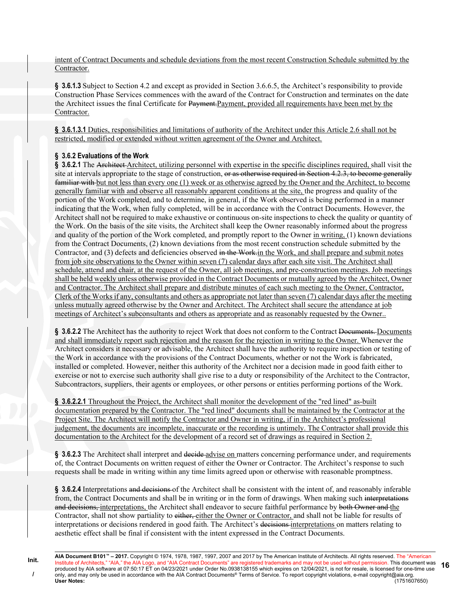intent of Contract Documents and schedule deviations from the most recent Construction Schedule submitted by the Contractor.

**§ 3.6.1.3** Subject to Section 4.2 and except as provided in Section 3.6.6.5, the Architect's responsibility to provide Construction Phase Services commences with the award of the Contract for Construction and terminates on the date the Architect issues the final Certificate for Payment. Payment, provided all requirements have been met by the Contractor.

**§ 3.6.1.3.1** Duties, responsibilities and limitations of authority of the Architect under this Article 2.6 shall not be restricted, modified or extended without written agreement of the Owner and Architect.

### **§ 3.6.2 Evaluations of the Work**

**Init. /**

**§ 3.6.2.1** The Architect Architect, utilizing personnel with expertise in the specific disciplines required, shall visit the site at intervals appropriate to the stage of construction, or as otherwise required in Section 4.2.3, to become generally familiar with but not less than every one (1) week or as otherwise agreed by the Owner and the Architect, to become generally familiar with and observe all reasonably apparent conditions at the site, the progress and quality of the portion of the Work completed, and to determine, in general, if the Work observed is being performed in a manner indicating that the Work, when fully completed, will be in accordance with the Contract Documents. However, the Architect shall not be required to make exhaustive or continuous on-site inspections to check the quality or quantity of the Work. On the basis of the site visits, the Architect shall keep the Owner reasonably informed about the progress and quality of the portion of the Work completed, and promptly report to the Owner in writing, (1) known deviations from the Contract Documents, (2) known deviations from the most recent construction schedule submitted by the Contractor, and (3) defects and deficiencies observed in the Work.in the Work, and shall prepare and submit notes from job site observations to the Owner within seven (7) calendar days after each site visit. The Architect shall schedule, attend and chair, at the request of the Owner, all job meetings, and pre-construction meetings. Job meetings shall be held weekly unless otherwise provided in the Contract Documents or mutually agreed by the Architect, Owner and Contractor. The Architect shall prepare and distribute minutes of each such meeting to the Owner, Contractor, Clerk of the Works if any, consultants and others as appropriate not later than seven (7) calendar days after the meeting unless mutually agreed otherwise by the Owner and Architect. The Architect shall secure the attendance at job meetings of Architect's subconsultants and others as appropriate and as reasonably requested by the Owner..

§ 3.6.2.2 The Architect has the authority to reject Work that does not conform to the Contract Documents. Documents and shall immediately report such rejection and the reason for the rejection in writing to the Owner. Whenever the Architect considers it necessary or advisable, the Architect shall have the authority to require inspection or testing of the Work in accordance with the provisions of the Contract Documents, whether or not the Work is fabricated, installed or completed. However, neither this authority of the Architect nor a decision made in good faith either to exercise or not to exercise such authority shall give rise to a duty or responsibility of the Architect to the Contractor, Subcontractors, suppliers, their agents or employees, or other persons or entities performing portions of the Work.

**§ 3.6.2.2.1** Throughout the Project, the Architect shall monitor the development of the "red lined" as-built documentation prepared by the Contractor. The "red lined" documents shall be maintained by the Contractor at the Project Site. The Architect will notify the Contractor and Owner in writing, if in the Architect's professional judgement, the documents are incomplete, inaccurate or the recording is untimely. The Contractor shall provide this documentation to the Architect for the development of a record set of drawings as required in Section 2.

§ 3.6.2.3 The Architect shall interpret and decide advise on matters concerning performance under, and requirements of, the Contract Documents on written request of either the Owner or Contractor. The Architect's response to such requests shall be made in writing within any time limits agreed upon or otherwise with reasonable promptness.

**§ 3.6.2.4** Interpretations and decisions of the Architect shall be consistent with the intent of, and reasonably inferable from, the Contract Documents and shall be in writing or in the form of drawings. When making such interpretations and decisions, interpretations, the Architect shall endeavor to secure faithful performance by both Owner and the Contractor, shall not show partiality to either, either the Owner or Contractor, and shall not be liable for results of interpretations or decisions rendered in good faith. The Architect's decisions interpretations on matters relating to aesthetic effect shall be final if consistent with the intent expressed in the Contract Documents.

**AIA Document B101™ – 2017.** Copyright © 1974, 1978, 1987, 1997, 2007 and 2017 by The American Institute of Architects. All rights reserved. The "American Institute of Architects," "AIA," the AIA Logo, and "AIA Contract Documents" are registered trademarks and may not be used without permission. This document was produced by AIA software at 07:50:17 ET on 04/23/2021 under Order No.0938138155 which expires on 12/04/2021, is not for resale, is licensed for one-time use only, and may only be used in accordance with the AIA Contract Documents® Terms of Service. To report copyright violations, e-mail copyright@aia.org. **User Notes:** (1751607650) **16**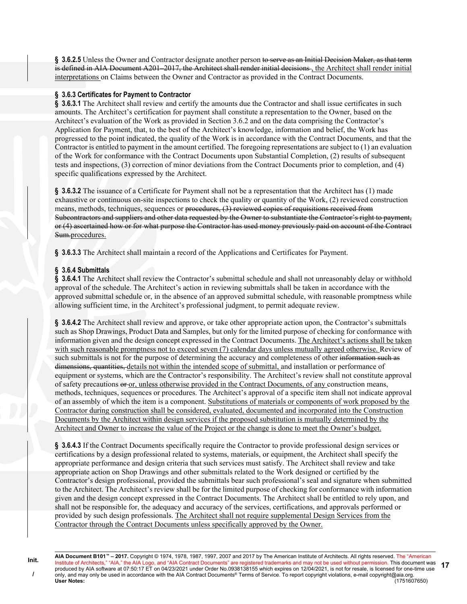**§ 3.6.2.5** Unless the Owner and Contractor designate another person to serve as an Initial Decision Maker, as that term is defined in AIA Document A201–2017, the Architect shall render initial decisions , the Architect shall render initial interpretations on Claims between the Owner and Contractor as provided in the Contract Documents.

### **§ 3.6.3 Certificates for Payment to Contractor**

§ 3.6.3.1 The Architect shall review and certify the amounts due the Contractor and shall issue certificates in such amounts. The Architect's certification for payment shall constitute a representation to the Owner, based on the Architect's evaluation of the Work as provided in Section 3.6.2 and on the data comprising the Contractor's Application for Payment, that, to the best of the Architect's knowledge, information and belief, the Work has progressed to the point indicated, the quality of the Work is in accordance with the Contract Documents, and that the Contractor is entitled to payment in the amount certified. The foregoing representations are subject to (1) an evaluation of the Work for conformance with the Contract Documents upon Substantial Completion, (2) results of subsequent tests and inspections, (3) correction of minor deviations from the Contract Documents prior to completion, and (4) specific qualifications expressed by the Architect.

**§ 3.6.3.2** The issuance of a Certificate for Payment shall not be a representation that the Architect has (1) made exhaustive or continuous on-site inspections to check the quality or quantity of the Work, (2) reviewed construction means, methods, techniques, sequences or procedures, (3) reviewed copies of requisitions received from Subcontractors and suppliers and other data requested by the Owner to substantiate the Contractor's right to payment, or (4) ascertained how or for what purpose the Contractor has used money previously paid on account of the Contract Sum.procedures.

**§ 3.6.3.3** The Architect shall maintain a record of the Applications and Certificates for Payment.

#### **§ 3.6.4 Submittals**

**§ 3.6.4.1** The Architect shall review the Contractor's submittal schedule and shall not unreasonably delay or withhold approval of the schedule. The Architect's action in reviewing submittals shall be taken in accordance with the approved submittal schedule or, in the absence of an approved submittal schedule, with reasonable promptness while allowing sufficient time, in the Architect's professional judgment, to permit adequate review.

**§ 3.6.4.2** The Architect shall review and approve, or take other appropriate action upon, the Contractor's submittals such as Shop Drawings, Product Data and Samples, but only for the limited purpose of checking for conformance with information given and the design concept expressed in the Contract Documents. The Architect's actions shall be taken with such reasonable promptness not to exceed seven (7) calendar days unless mutually agreed otherwise. Review of such submittals is not for the purpose of determining the accuracy and completeness of other information such as dimensions, quantities, details not within the intended scope of submittal, and installation or performance of equipment or systems, which are the Contractor's responsibility. The Architect's review shall not constitute approval of safety precautions or or, unless otherwise provided in the Contract Documents, of any construction means, methods, techniques, sequences or procedures. The Architect's approval of a specific item shall not indicate approval of an assembly of which the item is a component. Substitutions of materials or components of work proposed by the Contractor during construction shall be considered, evaluated, documented and incorporated into the Construction Documents by the Architect within design services if the proposed substitution is mutually determined by the Architect and Owner to increase the value of the Project or the change is done to meet the Owner's budget.

**§ 3.6.4.3** If the Contract Documents specifically require the Contractor to provide professional design services or certifications by a design professional related to systems, materials, or equipment, the Architect shall specify the appropriate performance and design criteria that such services must satisfy. The Architect shall review and take appropriate action on Shop Drawings and other submittals related to the Work designed or certified by the Contractor's design professional, provided the submittals bear such professional's seal and signature when submitted to the Architect. The Architect's review shall be for the limited purpose of checking for conformance with information given and the design concept expressed in the Contract Documents. The Architect shall be entitled to rely upon, and shall not be responsible for, the adequacy and accuracy of the services, certifications, and approvals performed or provided by such design professionals. The Architect shall not require supplemental Design Services from the Contractor through the Contract Documents unless specifically approved by the Owner.

**Init. /**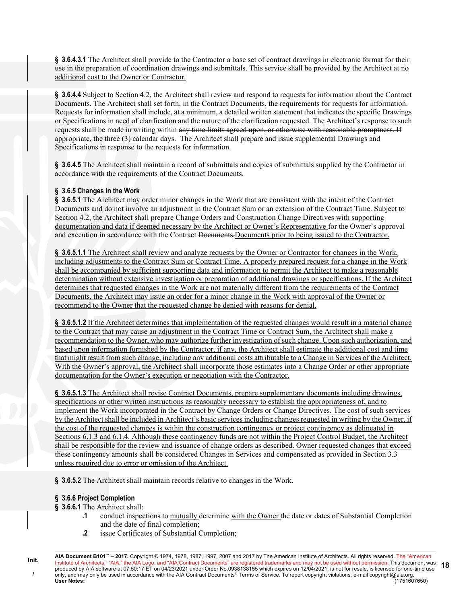§ 3.6.4.3.1 The Architect shall provide to the Contractor a base set of contract drawings in electronic format for their use in the preparation of coordination drawings and submittals. This service shall be provided by the Architect at no additional cost to the Owner or Contractor.

**§ 3.6.4.4** Subject to Section 4.2, the Architect shall review and respond to requests for information about the Contract Documents. The Architect shall set forth, in the Contract Documents, the requirements for requests for information. Requests for information shall include, at a minimum, a detailed written statement that indicates the specific Drawings or Specifications in need of clarification and the nature of the clarification requested. The Architect's response to such requests shall be made in writing within any time limits agreed upon, or otherwise with reasonable promptness. If appropriate, the three (3) calendar days. The Architect shall prepare and issue supplemental Drawings and Specifications in response to the requests for information.

**§ 3.6.4.5** The Architect shall maintain a record of submittals and copies of submittals supplied by the Contractor in accordance with the requirements of the Contract Documents.

#### **§ 3.6.5 Changes in the Work**

**§ 3.6.5.1** The Architect may order minor changes in the Work that are consistent with the intent of the Contract Documents and do not involve an adjustment in the Contract Sum or an extension of the Contract Time. Subject to Section 4.2, the Architect shall prepare Change Orders and Construction Change Directives with supporting documentation and data if deemed necessary by the Architect or Owner's Representative for the Owner's approval and execution in accordance with the Contract Documents.Documents prior to being issued to the Contractor.

§ 3.6.5.1.1 The Architect shall review and analyze requests by the Owner or Contractor for changes in the Work, including adjustments to the Contract Sum or Contract Time. A properly prepared request for a change in the Work shall be accompanied by sufficient supporting data and information to permit the Architect to make a reasonable determination without extensive investigation or preparation of additional drawings or specifications. If the Architect determines that requested changes in the Work are not materially different from the requirements of the Contract Documents, the Architect may issue an order for a minor change in the Work with approval of the Owner or recommend to the Owner that the requested change be denied with reasons for denial.

**§ 3.6.5.1.2** If the Architect determines that implementation of the requested changes would result in a material change to the Contract that may cause an adjustment in the Contract Time or Contract Sum, the Architect shall make a recommendation to the Owner, who may authorize further investigation of such change. Upon such authorization, and based upon information furnished by the Contractor, if any, the Architect shall estimate the additional cost and time that might result from such change, including any additional costs attributable to a Change in Services of the Architect. With the Owner's approval, the Architect shall incorporate those estimates into a Change Order or other appropriate documentation for the Owner's execution or negotiation with the Contractor.

**§ 3.6.5.1.3** The Architect shall revise Contract Documents, prepare supplementary documents including drawings, specifications or other written instructions as reasonably necessary to establish the appropriateness of, and to implement the Work incorporated in the Contract by Change Orders or Change Directives. The cost of such services by the Architect shall be included in Architect's basic services including changes requested in writing by the Owner, if the cost of the requested changes is within the construction contingency or project contingency as delineated in Sections 6.1.3 and 6.1.4. Although these contingency funds are not within the Project Control Budget, the Architect shall be responsible for the review and issuance of change orders as described. Owner requested changes that exceed these contingency amounts shall be considered Changes in Services and compensated as provided in Section 3.3 unless required due to error or omission of the Architect.

**§ 3.6.5.2** The Architect shall maintain records relative to changes in the Work.

# **§ 3.6.6 Project Completion**

**§ 3.6.6.1** The Architect shall:

- **.1** conduct inspections to mutually determine with the Owner the date or dates of Substantial Completion and the date of final completion;
- **.2** issue Certificates of Substantial Completion;

**AIA Document B101™ – 2017.** Copyright © 1974, 1978, 1987, 1997, 2007 and 2017 by The American Institute of Architects. All rights reserved. The "American Institute of Architects," "AIA," the AIA Logo, and "AIA Contract Documents" are registered trademarks and may not be used without permission. This document was produced by AIA software at 07:50:17 ET on 04/23/2021 under Order No.0938138155 which expires on 12/04/2021, is not for resale, is licensed for one-time use only, and may only be used in accordance with the AIA Contract Documents® Terms of Service. To report copyright violations, e-mail copyright@aia.org. **User Notes:** (1751607650) **18**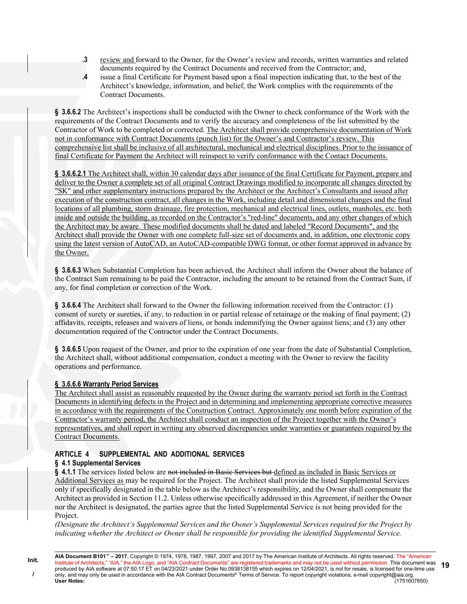- **.3** review and forward to the Owner, for the Owner's review and records, written warranties and related documents required by the Contract Documents and received from the Contractor; and,
- **.4** issue a final Certificate for Payment based upon a final inspection indicating that, to the best of the Architect's knowledge, information, and belief, the Work complies with the requirements of the Contract Documents.

**§ 3.6.6.2** The Architect's inspections shall be conducted with the Owner to check conformance of the Work with the requirements of the Contract Documents and to verify the accuracy and completeness of the list submitted by the Contractor of Work to be completed or corrected. The Architect shall provide comprehensive documentation of Work not in conformance with Contract Documents (punch list) for the Owner's and Contractor's review. This comprehensive list shall be inclusive of all architectural, mechanical and electrical disciplines. Prior to the issuance of final Certificate for Payment the Architect will reinspect to verify conformance with the Contact Documents.

§ 3.6.6.2.1 The Architect shall, within 30 calendar days after issuance of the final Certificate for Payment, prepare and deliver to the Owner a complete set of all original Contract Drawings modified to incorporate all changes directed by "SK" and other supplementary instructions prepared by the Architect or the Architect's Consultants and issued after execution of the construction contract, all changes in the Work, including detail and dimensional changes and the final locations of all plumbing, storm drainage, fire protection, mechanical and electrical lines, outlets, manholes, etc. both inside and outside the building, as recorded on the Contractor's "red-line" documents, and any other changes of which the Architect may be aware. These modified documents shall be dated and labeled "Record Documents", and the Architect shall provide the Owner with one complete full-size set of documents and, in addition, one electronic copy using the latest version of AutoCAD, an AutoCAD-compatible DWG format, or other format approved in advance by the Owner.

**§ 3.6.6.3** When Substantial Completion has been achieved, the Architect shall inform the Owner about the balance of the Contract Sum remaining to be paid the Contractor, including the amount to be retained from the Contract Sum, if any, for final completion or correction of the Work.

**§ 3.6.6.4** The Architect shall forward to the Owner the following information received from the Contractor: (1) consent of surety or sureties, if any, to reduction in or partial release of retainage or the making of final payment; (2) affidavits, receipts, releases and waivers of liens, or bonds indemnifying the Owner against liens; and (3) any other documentation required of the Contractor under the Contract Documents.

**§ 3.6.6.5** Upon request of the Owner, and prior to the expiration of one year from the date of Substantial Completion, the Architect shall, without additional compensation, conduct a meeting with the Owner to review the facility operations and performance.

# **§ 3.6.6.6 Warranty Period Services**

The Architect shall assist as reasonably requested by the Owner during the warranty period set forth in the Contract Documents in identifying defects in the Project and in determining and implementing appropriate corrective measures in accordance with the requirements of the Construction Contract. Approximately one month before expiration of the Contractor's warranty period, the Architect shall conduct an inspection of the Project together with the Owner's representatives, and shall report in writing any observed discrepancies under warranties or guarantees required by the Contract Documents.

# **ARTICLE 4 SUPPLEMENTAL AND ADDITIONAL SERVICES**

#### **§ 4.1 Supplemental Services**

§ 4.1.1 The services listed below are not included in Basic Services but defined as included in Basic Services or Additional Services as may be required for the Project. The Architect shall provide the listed Supplemental Services only if specifically designated in the table below as the Architect's responsibility, and the Owner shall compensate the Architect as provided in Section 11.2. Unless otherwise specifically addressed in this Agreement, if neither the Owner nor the Architect is designated, the parties agree that the listed Supplemental Service is not being provided for the Project.

*(Designate the Architect's Supplemental Services and the Owner's Supplemental Services required for the Project by indicating whether the Architect or Owner shall be responsible for providing the identified Supplemental Service.* 

**AIA Document B101™ – 2017.** Copyright © 1974, 1978, 1987, 1997, 2007 and 2017 by The American Institute of Architects. All rights reserved. The "American Institute of Architects," "AIA," the AIA Logo, and "AIA Contract Documents" are registered trademarks and may not be used without permission. This document was produced by AIA software at 07:50:17 ET on 04/23/2021 under Order No.0938138155 which expires on 12/04/2021, is not for resale, is licensed for one-time use only, and may only be used in accordance with the AIA Contract Documents® Terms of Service. To report copyright violations, e-mail copyright@aia.org. **User Notes:** (1751607650) **19**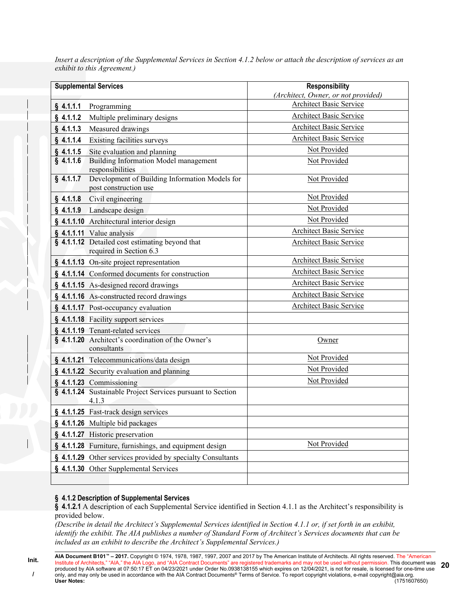|              | <b>Supplemental Services</b>                                               | <b>Responsibility</b>               |  |  |  |
|--------------|----------------------------------------------------------------------------|-------------------------------------|--|--|--|
|              |                                                                            | (Architect, Owner, or not provided) |  |  |  |
| $§$ 4.1.1.1  | Programming                                                                | <b>Architect Basic Service</b>      |  |  |  |
| $§$ 4.1.1.2  | Multiple preliminary designs                                               | <b>Architect Basic Service</b>      |  |  |  |
| $§$ 4.1.1.3  | Measured drawings                                                          | <b>Architect Basic Service</b>      |  |  |  |
| $§$ 4.1.1.4  | Existing facilities surveys                                                | <b>Architect Basic Service</b>      |  |  |  |
| $§$ 4.1.1.5  | Site evaluation and planning                                               | Not Provided                        |  |  |  |
| $§$ 4.1.1.6  | Building Information Model management<br>responsibilities                  | Not Provided                        |  |  |  |
| $§$ 4.1.1.7  | Development of Building Information Models for<br>post construction use    | Not Provided                        |  |  |  |
| $§$ 4.1.1.8  | Civil engineering                                                          | Not Provided                        |  |  |  |
| $§$ 4.1.1.9  | Landscape design                                                           | Not Provided                        |  |  |  |
|              | § 4.1.1.10 Architectural interior design                                   | Not Provided                        |  |  |  |
|              | $§$ 4.1.1.11 Value analysis                                                | Architect Basic Service             |  |  |  |
|              | § 4.1.1.12 Detailed cost estimating beyond that<br>required in Section 6.3 | <b>Architect Basic Service</b>      |  |  |  |
|              | § 4.1.1.13 On-site project representation                                  | <b>Architect Basic Service</b>      |  |  |  |
|              | § 4.1.1.14 Conformed documents for construction                            | <b>Architect Basic Service</b>      |  |  |  |
|              | § 4.1.1.15 As-designed record drawings                                     | Architect Basic Service             |  |  |  |
|              | § 4.1.1.16 As-constructed record drawings                                  | <b>Architect Basic Service</b>      |  |  |  |
|              | § 4.1.1.17 Post-occupancy evaluation                                       | <b>Architect Basic Service</b>      |  |  |  |
|              | § 4.1.1.18 Facility support services                                       |                                     |  |  |  |
|              | § 4.1.1.19 Tenant-related services                                         |                                     |  |  |  |
|              | § 4.1.1.20 Architect's coordination of the Owner's<br>consultants          | Owner                               |  |  |  |
|              | § 4.1.1.21 Telecommunications/data design                                  | Not Provided                        |  |  |  |
|              | § 4.1.1.22 Security evaluation and planning                                | Not Provided                        |  |  |  |
|              | § 4.1.1.23 Commissioning                                                   | Not Provided                        |  |  |  |
|              | § 4.1.1.24 Sustainable Project Services pursuant to Section<br>4.1.3       |                                     |  |  |  |
|              | § 4.1.1.25 Fast-track design services                                      |                                     |  |  |  |
|              | § 4.1.1.26 Multiple bid packages                                           |                                     |  |  |  |
|              | § 4.1.1.27 Historic preservation                                           |                                     |  |  |  |
|              | § 4.1.1.28 Furniture, furnishings, and equipment design                    | Not Provided                        |  |  |  |
| $§$ 4.1.1.29 | Other services provided by specialty Consultants                           |                                     |  |  |  |
|              | § 4.1.1.30 Other Supplemental Services                                     |                                     |  |  |  |
|              |                                                                            |                                     |  |  |  |

*Insert a description of the Supplemental Services in Section 4.1.2 below or attach the description of services as an exhibit to this Agreement.)*

# **§ 4.1.2 Description of Supplemental Services**

**§ 4.1.2.1** A description of each Supplemental Service identified in Section 4.1.1 as the Architect's responsibility is provided below.

*(Describe in detail the Architect's Supplemental Services identified in Section 4.1.1 or, if set forth in an exhibit, identify the exhibit. The AIA publishes a number of Standard Form of Architect's Services documents that can be included as an exhibit to describe the Architect's Supplemental Services.)*

**AIA Document B101™ – 2017.** Copyright © 1974, 1978, 1987, 1997, 2007 and 2017 by The American Institute of Architects. All rights reserved. The "American Institute of Architects," "AIA," the AIA Logo, and "AIA Contract Documents" are registered trademarks and may not be used without permission. This document was produced by AIA software at 07:50:17 ET on 04/23/2021 under Order No.0938138155 which expires on 12/04/2021, is not for resale, is licensed for one-time use only, and may only be used in accordance with the AIA Contract Documents® Terms of Service. To report copyright violations, e-mail copyright@aia.org. **User Notes:** (1751607650) **20**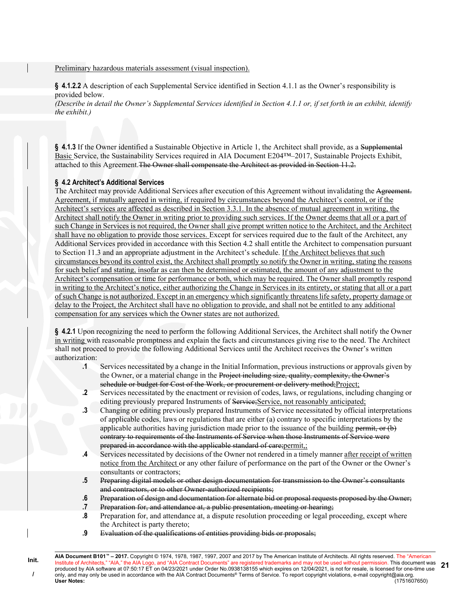Preliminary hazardous materials assessment (visual inspection).

**§ 4.1.2.2** A description of each Supplemental Service identified in Section 4.1.1 as the Owner's responsibility is provided below.

*(Describe in detail the Owner's Supplemental Services identified in Section 4.1.1 or, if set forth in an exhibit, identify the exhibit.)*

§ 4.1.3 If the Owner identified a Sustainable Objective in Article 1, the Architect shall provide, as a Supplemental Basic Service, the Sustainability Services required in AIA Document E204™–2017, Sustainable Projects Exhibit, attached to this Agreement.The Owner shall compensate the Architect as provided in Section 11.2.

#### **§ 4.2 Architect's Additional Services**

The Architect may provide Additional Services after execution of this Agreement without invalidating the Agreement. Agreement, if mutually agreed in writing, if required by circumstances beyond the Architect's control, or if the Architect's services are affected as described in Section 3.3.1. In the absence of mutual agreement in writing, the Architect shall notify the Owner in writing prior to providing such services. If the Owner deems that all or a part of such Change in Services is not required, the Owner shall give prompt written notice to the Architect, and the Architect shall have no obligation to provide those services. Except for services required due to the fault of the Architect, any Additional Services provided in accordance with this Section 4.2 shall entitle the Architect to compensation pursuant to Section 11.3 and an appropriate adjustment in the Architect's schedule. If the Architect believes that such circumstances beyond its control exist, the Architect shall promptly so notify the Owner in writing, stating the reasons for such belief and stating, insofar as can then be determined or estimated, the amount of any adjustment to the Architect's compensation or time for performance or both, which may be required. The Owner shall promptly respond in writing to the Architect's notice, either authorizing the Change in Services in its entirety, or stating that all or a part of such Change is not authorized. Except in an emergency which significantly threatens life safety, property damage or delay to the Project, the Architect shall have no obligation to provide, and shall not be entitled to any additional compensation for any services which the Owner states are not authorized.

**§ 4.2.1** Upon recognizing the need to perform the following Additional Services, the Architect shall notify the Owner in writing with reasonable promptness and explain the facts and circumstances giving rise to the need. The Architect shall not proceed to provide the following Additional Services until the Architect receives the Owner's written authorization:

- **.1** Services necessitated by a change in the Initial Information, previous instructions or approvals given by the Owner, or a material change in the Project including size, quality, complexity, the Owner's schedule or budget for Cost of the Work, or procurement or delivery method;Project;
- **.2** Services necessitated by the enactment or revision of codes, laws, or regulations, including changing or editing previously prepared Instruments of Service; Service, not reasonably anticipated;
- **.3** Changing or editing previously prepared Instruments of Service necessitated by official interpretations of applicable codes, laws or regulations that are either (a) contrary to specific interpretations by the applicable authorities having jurisdiction made prior to the issuance of the building permit, or  $(b)$ contrary to requirements of the Instruments of Service when those Instruments of Service were prepared in accordance with the applicable standard of care; permit,;
- **.4** Services necessitated by decisions of the Owner not rendered in a timely manner after receipt of written notice from the Architect or any other failure of performance on the part of the Owner or the Owner's consultants or contractors;
- **.5** Preparing digital models or other design documentation for transmission to the Owner's consultants and contractors, or to other Owner-authorized recipients;
- **.6** Preparation of design and documentation for alternate bid or proposal requests proposed by the Owner;
- **.7** Preparation for, and attendance at, a public presentation, meeting or hearing;
- **.8** Preparation for, and attendance at, a dispute resolution proceeding or legal proceeding, except where the Architect is party thereto;
- **.9** Evaluation of the qualifications of entities providing bids or proposals;

**AIA Document B101™ – 2017.** Copyright © 1974, 1978, 1987, 1997, 2007 and 2017 by The American Institute of Architects. All rights reserved. The "American Institute of Architects," "AIA," the AIA Logo, and "AIA Contract Documents" are registered trademarks and may not be used without permission. This document was produced by AIA software at 07:50:17 ET on 04/23/2021 under Order No.0938138155 which expires on 12/04/2021, is not for resale, is licensed for one-time use only, and may only be used in accordance with the AIA Contract Documents® Terms of Service. To report copyright violations, e-mail copyright@aia.org. **User Notes:** (1751607650) **21**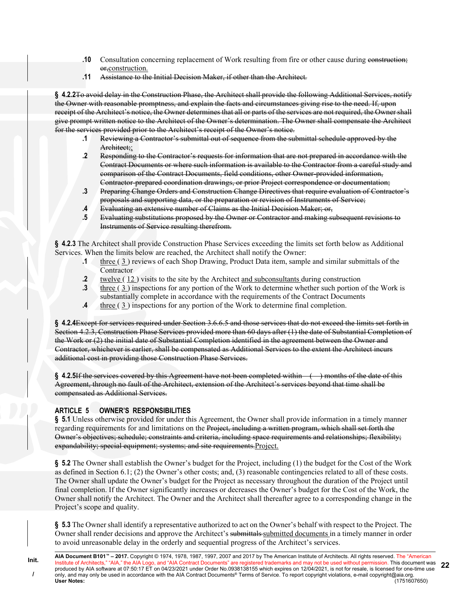- **.10** Consultation concerning replacement of Work resulting from fire or other cause during construction;  $-$ er,construction.
- **.11** Assistance to the Initial Decision Maker, if other than the Architect*.*

§ 4.2.2<del>To avoid delay in the Construction Phase, the Architect shall provide the following Additional Services, notify</del> the Owner with reasonable promptness, and explain the facts and circumstances giving rise to the need. If, upon receipt of the Architect's notice, the Owner determines that all or parts of the services are not required, the Owner shall give prompt written notice to the Architect of the Owner's determination. The Owner shall compensate the Architect for the services provided prior to the Architect's receipt of the Owner's notice.

- **.1** Reviewing a Contractor's submittal out of sequence from the submittal schedule approved by the Architect:
- **.2** Responding to the Contractor's requests for information that are not prepared in accordance with the Contract Documents or where such information is available to the Contractor from a careful study and comparison of the Contract Documents, field conditions, other Owner-provided information, Contractor-prepared coordination drawings, or prior Project correspondence or documentation;
- **.3** Preparing Change Orders and Construction Change Directives that require evaluation of Contractor's proposals and supporting data, or the preparation or revision of Instruments of Service;
- **.4** Evaluating an extensive number of Claims as the Initial Decision Maker; or,
- **.5** Evaluating substitutions proposed by the Owner or Contractor and making subsequent revisions to Instruments of Service resulting therefrom.

**§ 4.2.3** The Architect shall provide Construction Phase Services exceeding the limits set forth below as Additional Services. When the limits below are reached, the Architect shall notify the Owner:

- **.1** three ( 3 ) reviews of each Shop Drawing, Product Data item, sample and similar submittals of the **Contractor**
- **2** twelve (12) visits to the site by the Architect and subconsultants during construction
- **.3** three ( 3 ) inspections for any portion of the Work to determine whether such portion of the Work is substantially complete in accordance with the requirements of the Contract Documents
- **.4** three ( 3 ) inspections for any portion of the Work to determine final completion.

**§ 4.2.4**Except for services required under Section 3.6.6.5 and those services that do not exceed the limits set forth in Section 4.2.3, Construction Phase Services provided more than 60 days after (1) the date of Substantial Completion of the Work or (2) the initial date of Substantial Completion identified in the agreement between the Owner and Contractor, whichever is earlier, shall be compensated as Additional Services to the extent the Architect incurs additional cost in providing those Construction Phase Services.

**§ 4.2.5**If the services covered by this Agreement have not been completed within ( ) months of the date of this Agreement, through no fault of the Architect, extension of the Architect's services beyond that time shall be compensated as Additional Services.

#### **ARTICLE 5 OWNER'S RESPONSIBILITIES**

**§ 5.1** Unless otherwise provided for under this Agreement, the Owner shall provide information in a timely manner regarding requirements for and limitations on the Project, including a written program, which shall set forth the Owner's objectives; schedule; constraints and criteria, including space requirements and relationships; flexibility; expandability; special equipment; systems; and site requirements.Project.

**§ 5.2** The Owner shall establish the Owner's budget for the Project, including (1) the budget for the Cost of the Work as defined in Section 6.1; (2) the Owner's other costs; and, (3) reasonable contingencies related to all of these costs. The Owner shall update the Owner's budget for the Project as necessary throughout the duration of the Project until final completion. If the Owner significantly increases or decreases the Owner's budget for the Cost of the Work, the Owner shall notify the Architect. The Owner and the Architect shall thereafter agree to a corresponding change in the Project's scope and quality.

**§ 5.3** The Owner shall identify a representative authorized to act on the Owner's behalf with respect to the Project. The Owner shall render decisions and approve the Architect's submittals submitted documents in a timely manner in order to avoid unreasonable delay in the orderly and sequential progress of the Architect's services.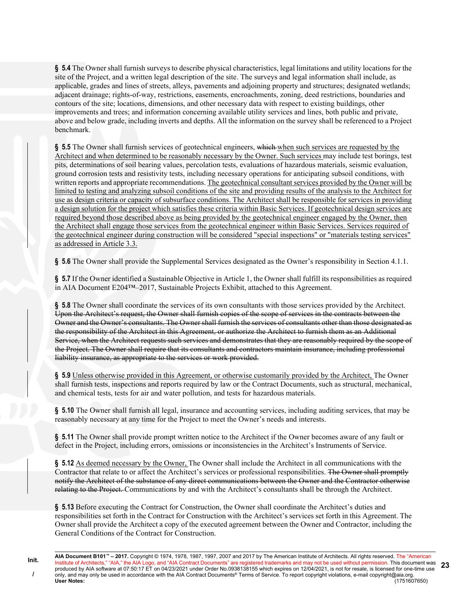**§ 5.4** The Owner shall furnish surveys to describe physical characteristics, legal limitations and utility locations for the site of the Project, and a written legal description of the site. The surveys and legal information shall include, as applicable, grades and lines of streets, alleys, pavements and adjoining property and structures; designated wetlands; adjacent drainage; rights-of-way, restrictions, easements, encroachments, zoning, deed restrictions, boundaries and contours of the site; locations, dimensions, and other necessary data with respect to existing buildings, other improvements and trees; and information concerning available utility services and lines, both public and private, above and below grade, including inverts and depths. All the information on the survey shall be referenced to a Project benchmark.

§ 5.5 The Owner shall furnish services of geotechnical engineers, which when such services are requested by the Architect and when determined to be reasonably necessary by the Owner. Such services may include test borings, test pits, determinations of soil bearing values, percolation tests, evaluations of hazardous materials, seismic evaluation, ground corrosion tests and resistivity tests, including necessary operations for anticipating subsoil conditions, with written reports and appropriate recommendations. The geotechnical consultant services provided by the Owner will be limited to testing and analyzing subsoil conditions of the site and providing results of the analysis to the Architect for use as design criteria or capacity of subsurface conditions. The Architect shall be responsible for services in providing a design solution for the project which satisfies these criteria within Basic Services. If geotechnical design services are required beyond those described above as being provided by the geotechnical engineer engaged by the Owner, then the Architect shall engage those services from the geotechnical engineer within Basic Services. Services required of the geotechnical engineer during construction will be considered "special inspections" or "materials testing services" as addressed in Article 3.3.

**§ 5.6** The Owner shall provide the Supplemental Services designated as the Owner's responsibility in Section 4.1.1.

§ 5.7 If the Owner identified a Sustainable Objective in Article 1, the Owner shall fulfill its responsibilities as required in AIA Document E204™–2017, Sustainable Projects Exhibit, attached to this Agreement.

**§ 5.8** The Owner shall coordinate the services of its own consultants with those services provided by the Architect. Upon the Architect's request, the Owner shall furnish copies of the scope of services in the contracts between the Owner and the Owner's consultants. The Owner shall furnish the services of consultants other than those designated as the responsibility of the Architect in this Agreement, or authorize the Architect to furnish them as an Additional Service, when the Architect requests such services and demonstrates that they are reasonably required by the scope of the Project. The Owner shall require that its consultants and contractors maintain insurance, including professional liability insurance, as appropriate to the services or work provided.

**§ 5.9** Unless otherwise provided in this Agreement, or otherwise customarily provided by the Architect, The Owner shall furnish tests, inspections and reports required by law or the Contract Documents, such as structural, mechanical, and chemical tests, tests for air and water pollution, and tests for hazardous materials.

**§ 5.10** The Owner shall furnish all legal, insurance and accounting services, including auditing services, that may be reasonably necessary at any time for the Project to meet the Owner's needs and interests.

**§ 5.11** The Owner shall provide prompt written notice to the Architect if the Owner becomes aware of any fault or defect in the Project, including errors, omissions or inconsistencies in the Architect's Instruments of Service.

**§ 5.12** As deemed necessary by the Owner, The Owner shall include the Architect in all communications with the Contractor that relate to or affect the Architect's services or professional responsibilities. The Owner shall promptly notify the Architect of the substance of any direct communications between the Owner and the Contractor otherwise relating to the Project. Communications by and with the Architect's consultants shall be through the Architect.

**§ 5.13** Before executing the Contract for Construction, the Owner shall coordinate the Architect's duties and responsibilities set forth in the Contract for Construction with the Architect's services set forth in this Agreement. The Owner shall provide the Architect a copy of the executed agreement between the Owner and Contractor, including the General Conditions of the Contract for Construction.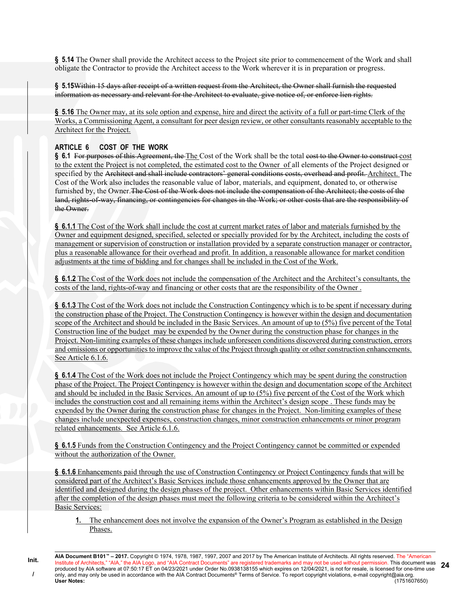**§ 5.14** The Owner shall provide the Architect access to the Project site prior to commencement of the Work and shall obligate the Contractor to provide the Architect access to the Work wherever it is in preparation or progress.

**§ 5.15**Within 15 days after receipt of a written request from the Architect, the Owner shall furnish the requested information as necessary and relevant for the Architect to evaluate, give notice of, or enforce lien rights.

**§ 5.16** The Owner may, at its sole option and expense, hire and direct the activity of a full or part-time Clerk of the Works, a Commissioning Agent, a consultant for peer design review, or other consultants reasonably acceptable to the Architect for the Project.

### **ARTICLE 6 COST OF THE WORK**

**Init. /**

§ 6.1 For purposes of this Agreement, the The Cost of the Work shall be the total cost to the Owner to construct cost to the extent the Project is not completed, the estimated cost to the Owner of all elements of the Project designed or specified by the Architect and shall include contractors' general conditions costs, overhead and profit. Architect. The Cost of the Work also includes the reasonable value of labor, materials, and equipment, donated to, or otherwise furnished by, the Owner. The Cost of the Work does not include the compensation of the Architect; the costs of the land, rights-of-way, financing, or contingencies for changes in the Work; or other costs that are the responsibility of the Owner.

**§ 6.1.1** The Cost of the Work shall include the cost at current market rates of labor and materials furnished by the Owner and equipment designed, specified, selected or specially provided for by the Architect, including the costs of management or supervision of construction or installation provided by a separate construction manager or contractor, plus a reasonable allowance for their overhead and profit. In addition, a reasonable allowance for market condition adjustments at the time of bidding and for changes shall be included in the Cost of the Work.

**§ 6.1.2** The Cost of the Work does not include the compensation of the Architect and the Architect's consultants, the costs of the land, rights-of-way and financing or other costs that are the responsibility of the Owner .

**§ 6.1.3** The Cost of the Work does not include the Construction Contingency which is to be spent if necessary during the construction phase of the Project. The Construction Contingency is however within the design and documentation scope of the Architect and should be included in the Basic Services. An amount of up to (5%) five percent of the Total Construction line of the budget may be expended by the Owner during the construction phase for changes in the Project. Non-limiting examples of these changes include unforeseen conditions discovered during construction, errors and omissions or opportunities to improve the value of the Project through quality or other construction enhancements. See Article 6.1.6.

**§ 6.1.4** The Cost of the Work does not include the Project Contingency which may be spent during the construction phase of the Project. The Project Contingency is however within the design and documentation scope of the Architect and should be included in the Basic Services. An amount of up to (5%) five percent of the Cost of the Work which includes the construction cost and all remaining items within the Architect's design scope . These funds may be expended by the Owner during the construction phase for changes in the Project. Non-limiting examples of these changes include unexpected expenses, construction changes, minor construction enhancements or minor program related enhancements. See Article 6.1.6.

**§ 6.1.5** Funds from the Construction Contingency and the Project Contingency cannot be committed or expended without the authorization of the Owner.

**§ 6.1.6** Enhancements paid through the use of Construction Contingency or Project Contingency funds that will be considered part of the Architect's Basic Services include those enhancements approved by the Owner that are identified and designed during the design phases of the project. Other enhancements within Basic Services identified after the completion of the design phases must meet the following criteria to be considered within the Architect's Basic Services:

- **1.** The enhancement does not involve the expansion of the Owner's Program as established in the Design Phases.
- **AIA Document B101™ 2017.** Copyright © 1974, 1978, 1987, 1997, 2007 and 2017 by The American Institute of Architects. All rights reserved. The "American Institute of Architects," "AIA," the AIA Logo, and "AIA Contract Documents" are registered trademarks and may not be used without permission. This document was produced by AIA software at 07:50:17 ET on 04/23/2021 under Order No.0938138155 which expires on 12/04/2021, is not for resale, is licensed for one-time use only, and may only be used in accordance with the AIA Contract Documents® Terms of Service. To report copyright violations, e-mail copyright@aia.org. **User Notes:** (1751607650) **24**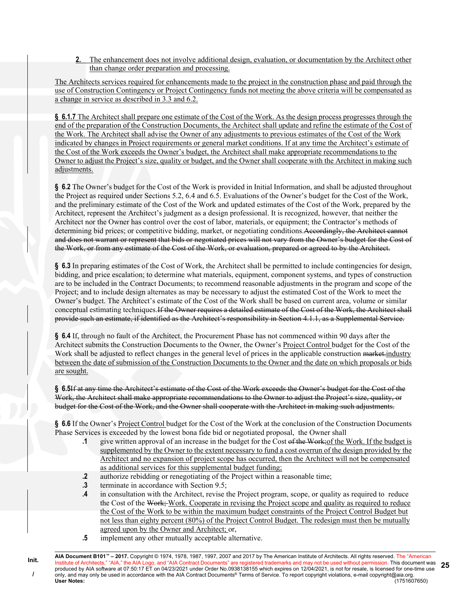**2.** The enhancement does not involve additional design, evaluation, or documentation by the Architect other than change order preparation and processing.

The Architects services required for enhancements made to the project in the construction phase and paid through the use of Construction Contingency or Project Contingency funds not meeting the above criteria will be compensated as a change in service as described in 3.3 and 6.2.

§ 6.1.7 The Architect shall prepare one estimate of the Cost of the Work. As the design process progresses through the end of the preparation of the Construction Documents, the Architect shall update and refine the estimate of the Cost of the Work. The Architect shall advise the Owner of any adjustments to previous estimates of the Cost of the Work indicated by changes in Project requirements or general market conditions. If at any time the Architect's estimate of the Cost of the Work exceeds the Owner's budget, the Architect shall make appropriate recommendations to the Owner to adjust the Project's size, quality or budget, and the Owner shall cooperate with the Architect in making such adjustments.

**§ 6.2** The Owner's budget for the Cost of the Work is provided in Initial Information, and shall be adjusted throughout the Project as required under Sections 5.2, 6.4 and 6.5. Evaluations of the Owner's budget for the Cost of the Work, and the preliminary estimate of the Cost of the Work and updated estimates of the Cost of the Work, prepared by the Architect, represent the Architect's judgment as a design professional. It is recognized, however, that neither the Architect nor the Owner has control over the cost of labor, materials, or equipment; the Contractor's methods of determining bid prices; or competitive bidding, market, or negotiating conditions. Accordingly, the Architect cannot and does not warrant or represent that bids or negotiated prices will not vary from the Owner's budget for the Cost of the Work, or from any estimate of the Cost of the Work, or evaluation, prepared or agreed to by the Architect.

**§ 6.3** In preparing estimates of the Cost of Work, the Architect shall be permitted to include contingencies for design, bidding, and price escalation; to determine what materials, equipment, component systems, and types of construction are to be included in the Contract Documents; to recommend reasonable adjustments in the program and scope of the Project; and to include design alternates as may be necessary to adjust the estimated Cost of the Work to meet the Owner's budget. The Architect's estimate of the Cost of the Work shall be based on current area, volume or similar conceptual estimating techniques.If the Owner requires a detailed estimate of the Cost of the Work, the Architect shall provide such an estimate, if identified as the Architect's responsibility in Section 4.1.1, as a Supplemental Service.

**§ 6.4** If, through no fault of the Architect, the Procurement Phase has not commenced within 90 days after the Architect submits the Construction Documents to the Owner, the Owner's Project Control budget for the Cost of the Work shall be adjusted to reflect changes in the general level of prices in the applicable construction market.industry between the date of submission of the Construction Documents to the Owner and the date on which proposals or bids are sought.

**§ 6.5**If at any time the Architect's estimate of the Cost of the Work exceeds the Owner's budget for the Cost of the Work, the Architect shall make appropriate recommendations to the Owner to adjust the Project's size, quality, or budget for the Cost of the Work, and the Owner shall cooperate with the Architect in making such adjustments.

**§ 6.6** If the Owner's Project Control budget for the Cost of the Work at the conclusion of the Construction Documents Phase Services is exceeded by the lowest bona fide bid or negotiated proposal, the Owner shall

- **.1** give written approval of an increase in the budget for the Cost of the Work;of the Work. If the budget is supplemented by the Owner to the extent necessary to fund a cost overrun of the design provided by the Architect and no expansion of project scope has occurred, then the Architect will not be compensated as additional services for this supplemental budget funding;
- **.2** authorize rebidding or renegotiating of the Project within a reasonable time;
- **.3** terminate in accordance with Section 9.5;
- **.4** in consultation with the Architect, revise the Project program, scope, or quality as required to reduce the Cost of the Work; Work. Cooperate in revising the Project scope and quality as required to reduce the Cost of the Work to be within the maximum budget constraints of the Project Control Budget but not less than eighty percent (80%) of the Project Control Budget. The redesign must then be mutually agreed upon by the Owner and Architect; or,
- **.5** implement any other mutually acceptable alternative.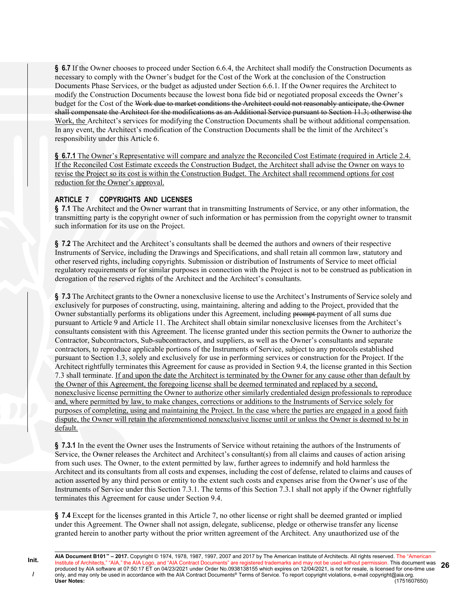**§ 6.7** If the Owner chooses to proceed under Section 6.6.4, the Architect shall modify the Construction Documents as necessary to comply with the Owner's budget for the Cost of the Work at the conclusion of the Construction Documents Phase Services, or the budget as adjusted under Section 6.6.1. If the Owner requires the Architect to modify the Construction Documents because the lowest bona fide bid or negotiated proposal exceeds the Owner's budget for the Cost of the Work due to market conditions the Architect could not reasonably anticipate, the Owner shall compensate the Architect for the modifications as an Additional Service pursuant to Section 11.3; otherwise the Work, the Architect's services for modifying the Construction Documents shall be without additional compensation. In any event, the Architect's modification of the Construction Documents shall be the limit of the Architect's responsibility under this Article 6.

**§ 6.7.1** The Owner's Representative will compare and analyze the Reconciled Cost Estimate (required in Article 2.4. If the Reconciled Cost Estimate exceeds the Construction Budget, the Architect shall advise the Owner on ways to revise the Project so its cost is within the Construction Budget. The Architect shall recommend options for cost reduction for the Owner's approval.

#### **ARTICLE 7 COPYRIGHTS AND LICENSES**

**Init. /**

§ 7.1 The Architect and the Owner warrant that in transmitting Instruments of Service, or any other information, the transmitting party is the copyright owner of such information or has permission from the copyright owner to transmit such information for its use on the Project.

**§ 7.2** The Architect and the Architect's consultants shall be deemed the authors and owners of their respective Instruments of Service, including the Drawings and Specifications, and shall retain all common law, statutory and other reserved rights, including copyrights. Submission or distribution of Instruments of Service to meet official regulatory requirements or for similar purposes in connection with the Project is not to be construed as publication in derogation of the reserved rights of the Architect and the Architect's consultants.

**§ 7.3** The Architect grants to the Owner a nonexclusive license to use the Architect's Instruments of Service solely and exclusively for purposes of constructing, using, maintaining, altering and adding to the Project, provided that the Owner substantially performs its obligations under this Agreement, including prompt payment of all sums due pursuant to Article 9 and Article 11. The Architect shall obtain similar nonexclusive licenses from the Architect's consultants consistent with this Agreement. The license granted under this section permits the Owner to authorize the Contractor, Subcontractors, Sub-subcontractors, and suppliers, as well as the Owner's consultants and separate contractors, to reproduce applicable portions of the Instruments of Service, subject to any protocols established pursuant to Section 1.3, solely and exclusively for use in performing services or construction for the Project. If the Architect rightfully terminates this Agreement for cause as provided in Section 9.4, the license granted in this Section 7.3 shall terminate. If and upon the date the Architect is terminated by the Owner for any cause other than default by the Owner of this Agreement, the foregoing license shall be deemed terminated and replaced by a second, nonexclusive license permitting the Owner to authorize other similarly credentialed design professionals to reproduce and, where permitted by law, to make changes, corrections or additions to the Instruments of Service solely for purposes of completing, using and maintaining the Project. In the case where the parties are engaged in a good faith dispute, the Owner will retain the aforementioned nonexclusive license until or unless the Owner is deemed to be in default.

**§ 7.3.1** In the event the Owner uses the Instruments of Service without retaining the authors of the Instruments of Service, the Owner releases the Architect and Architect's consultant(s) from all claims and causes of action arising from such uses. The Owner, to the extent permitted by law, further agrees to indemnify and hold harmless the Architect and its consultants from all costs and expenses, including the cost of defense, related to claims and causes of action asserted by any third person or entity to the extent such costs and expenses arise from the Owner's use of the Instruments of Service under this Section 7.3.1. The terms of this Section 7.3.1 shall not apply if the Owner rightfully terminates this Agreement for cause under Section 9.4.

**§ 7.4** Except for the licenses granted in this Article 7, no other license or right shall be deemed granted or implied under this Agreement. The Owner shall not assign, delegate, sublicense, pledge or otherwise transfer any license granted herein to another party without the prior written agreement of the Architect. Any unauthorized use of the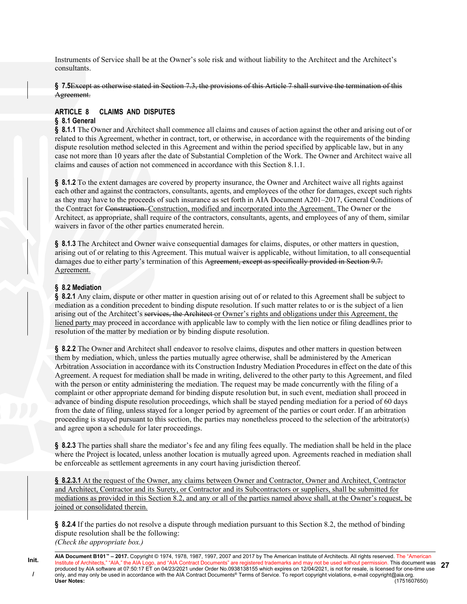Instruments of Service shall be at the Owner's sole risk and without liability to the Architect and the Architect's consultants.

**§ 7.5**Except as otherwise stated in Section 7.3, the provisions of this Article 7 shall survive the termination of this Agreement.

#### **ARTICLE 8 CLAIMS AND DISPUTES § 8.1 General**

**§ 8.1.1** The Owner and Architect shall commence all claims and causes of action against the other and arising out of or related to this Agreement, whether in contract, tort, or otherwise, in accordance with the requirements of the binding dispute resolution method selected in this Agreement and within the period specified by applicable law, but in any case not more than 10 years after the date of Substantial Completion of the Work. The Owner and Architect waive all claims and causes of action not commenced in accordance with this Section 8.1.1.

§ 8.1.2 To the extent damages are covered by property insurance, the Owner and Architect waive all rights against each other and against the contractors, consultants, agents, and employees of the other for damages, except such rights as they may have to the proceeds of such insurance as set forth in AIA Document A201–2017, General Conditions of the Contract for Construction. Construction, modified and incorporated into the Agreement. The Owner or the Architect, as appropriate, shall require of the contractors, consultants, agents, and employees of any of them, similar waivers in favor of the other parties enumerated herein.

**§ 8.1.3** The Architect and Owner waive consequential damages for claims, disputes, or other matters in question, arising out of or relating to this Agreement. This mutual waiver is applicable, without limitation, to all consequential damages due to either party's termination of this Agreement, except as specifically provided in Section 9.7. Agreement.

#### **§ 8.2 Mediation**

**§ 8.2.1** Any claim, dispute or other matter in question arising out of or related to this Agreement shall be subject to mediation as a condition precedent to binding dispute resolution. If such matter relates to or is the subject of a lien arising out of the Architect's services, the Architect or Owner's rights and obligations under this Agreement, the liened party may proceed in accordance with applicable law to comply with the lien notice or filing deadlines prior to resolution of the matter by mediation or by binding dispute resolution.

**§ 8.2.2** The Owner and Architect shall endeavor to resolve claims, disputes and other matters in question between them by mediation, which, unless the parties mutually agree otherwise, shall be administered by the American Arbitration Association in accordance with its Construction Industry Mediation Procedures in effect on the date of this Agreement. A request for mediation shall be made in writing, delivered to the other party to this Agreement, and filed with the person or entity administering the mediation. The request may be made concurrently with the filing of a complaint or other appropriate demand for binding dispute resolution but, in such event, mediation shall proceed in advance of binding dispute resolution proceedings, which shall be stayed pending mediation for a period of 60 days from the date of filing, unless stayed for a longer period by agreement of the parties or court order. If an arbitration proceeding is stayed pursuant to this section, the parties may nonetheless proceed to the selection of the arbitrator(s) and agree upon a schedule for later proceedings.

**§ 8.2.3** The parties shall share the mediator's fee and any filing fees equally. The mediation shall be held in the place where the Project is located, unless another location is mutually agreed upon. Agreements reached in mediation shall be enforceable as settlement agreements in any court having jurisdiction thereof.

**§ 8.2.3.1** At the request of the Owner, any claims between Owner and Contractor, Owner and Architect, Contractor and Architect, Contractor and its Surety, or Contractor and its Subcontractors or suppliers, shall be submitted for mediations as provided in this Section 8.2, and any or all of the parties named above shall, at the Owner's request, be joined or consolidated therein.

**§ 8.2.4** If the parties do not resolve a dispute through mediation pursuant to this Section 8.2, the method of binding dispute resolution shall be the following: *(Check the appropriate box.)*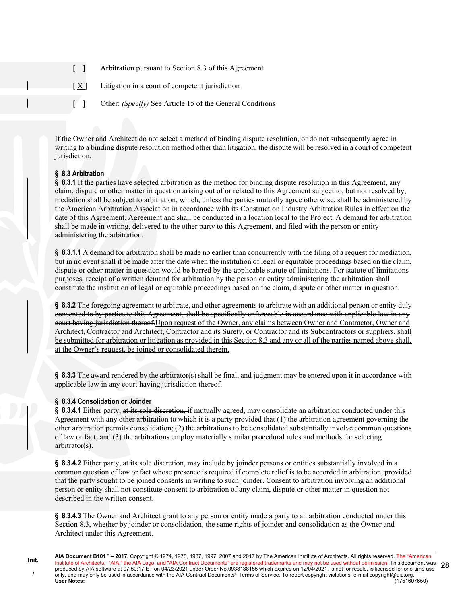- [ ] Arbitration pursuant to Section 8.3 of this Agreement
- [X] Litigation in a court of competent jurisdiction
- [ ] Other: *(Specify)* See Article 15 of the General Conditions

If the Owner and Architect do not select a method of binding dispute resolution, or do not subsequently agree in writing to a binding dispute resolution method other than litigation, the dispute will be resolved in a court of competent jurisdiction.

# **§ 8.3 Arbitration**

**§ 8.3.1** If the parties have selected arbitration as the method for binding dispute resolution in this Agreement, any claim, dispute or other matter in question arising out of or related to this Agreement subject to, but not resolved by, mediation shall be subject to arbitration, which, unless the parties mutually agree otherwise, shall be administered by the American Arbitration Association in accordance with its Construction Industry Arbitration Rules in effect on the date of this Agreement. Agreement and shall be conducted in a location local to the Project. A demand for arbitration shall be made in writing, delivered to the other party to this Agreement, and filed with the person or entity administering the arbitration.

**§ 8.3.1.1** A demand for arbitration shall be made no earlier than concurrently with the filing of a request for mediation, but in no event shall it be made after the date when the institution of legal or equitable proceedings based on the claim, dispute or other matter in question would be barred by the applicable statute of limitations. For statute of limitations purposes, receipt of a written demand for arbitration by the person or entity administering the arbitration shall constitute the institution of legal or equitable proceedings based on the claim, dispute or other matter in question.

**§ 8.3.2** The foregoing agreement to arbitrate, and other agreements to arbitrate with an additional person or entity duly consented to by parties to this Agreement, shall be specifically enforceable in accordance with applicable law in any court having jurisdiction thereof.Upon request of the Owner, any claims between Owner and Contractor, Owner and Architect, Contractor and Architect, Contractor and its Surety, or Contractor and its Subcontractors or suppliers, shall be submitted for arbitration or litigation as provided in this Section 8.3 and any or all of the parties named above shall, at the Owner's request, be joined or consolidated therein.

**§ 8.3.3** The award rendered by the arbitrator(s) shall be final, and judgment may be entered upon it in accordance with applicable law in any court having jurisdiction thereof.

#### **§ 8.3.4 Consolidation or Joinder**

**Init. /**

**§ 8.3.4.1** Either party, at its sole discretion, if mutually agreed, may consolidate an arbitration conducted under this Agreement with any other arbitration to which it is a party provided that (1) the arbitration agreement governing the other arbitration permits consolidation; (2) the arbitrations to be consolidated substantially involve common questions of law or fact; and (3) the arbitrations employ materially similar procedural rules and methods for selecting arbitrator(s).

**§ 8.3.4.2** Either party, at its sole discretion, may include by joinder persons or entities substantially involved in a common question of law or fact whose presence is required if complete relief is to be accorded in arbitration, provided that the party sought to be joined consents in writing to such joinder. Consent to arbitration involving an additional person or entity shall not constitute consent to arbitration of any claim, dispute or other matter in question not described in the written consent.

§ 8.3.4.3 The Owner and Architect grant to any person or entity made a party to an arbitration conducted under this Section 8.3, whether by joinder or consolidation, the same rights of joinder and consolidation as the Owner and Architect under this Agreement.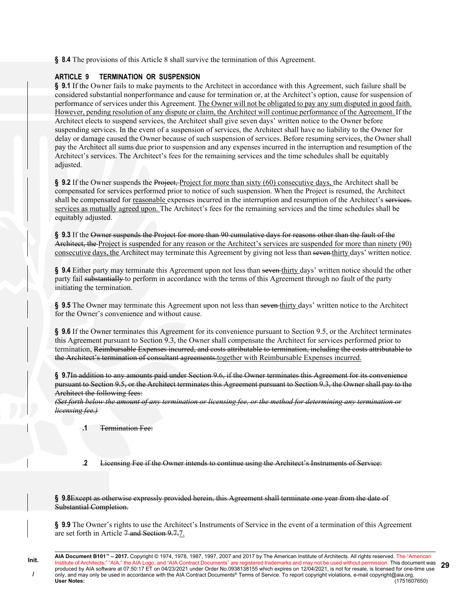**§ 8.4** The provisions of this Article 8 shall survive the termination of this Agreement.

#### **ARTICLE 9 TERMINATION OR SUSPENSION**

**§ 9.1** If the Owner fails to make payments to the Architect in accordance with this Agreement, such failure shall be considered substantial nonperformance and cause for termination or, at the Architect's option, cause for suspension of performance of services under this Agreement. The Owner will not be obligated to pay any sum disputed in good faith. However, pending resolution of any dispute or claim, the Architect will continue performance of the Agreement. If the Architect elects to suspend services, the Architect shall give seven days' written notice to the Owner before suspending services. In the event of a suspension of services, the Architect shall have no liability to the Owner for delay or damage caused the Owner because of such suspension of services. Before resuming services, the Owner shall pay the Architect all sums due prior to suspension and any expenses incurred in the interruption and resumption of the Architect's services. The Architect's fees for the remaining services and the time schedules shall be equitably adjusted.

**§ 9.2** If the Owner suspends the Project, Project for more than sixty (60) consecutive days, the Architect shall be compensated for services performed prior to notice of such suspension. When the Project is resumed, the Architect shall be compensated for reasonable expenses incurred in the interruption and resumption of the Architect's services. services as mutually agreed upon. The Architect's fees for the remaining services and the time schedules shall be equitably adjusted.

**§ 9.3** If the Owner suspends the Project for more than 90 cumulative days for reasons other than the fault of the Architect, the Project is suspended for any reason or the Architect's services are suspended for more than ninety (90) consecutive days, the Architect may terminate this Agreement by giving not less than seven thirty days' written notice.

§ 9.4 Either party may terminate this Agreement upon not less than seven thirty days' written notice should the other party fail substantially to perform in accordance with the terms of this Agreement through no fault of the party initiating the termination.

§ 9.5 The Owner may terminate this Agreement upon not less than seven thirty days' written notice to the Architect for the Owner's convenience and without cause.

**§ 9.6** If the Owner terminates this Agreement for its convenience pursuant to Section 9.5, or the Architect terminates this Agreement pursuant to Section 9.3, the Owner shall compensate the Architect for services performed prior to termination, Reimbursable Expenses incurred, and costs attributable to termination, including the costs attributable to the Architect's termination of consultant agreements.together with Reimbursable Expenses incurred.

**§ 9.7**In addition to any amounts paid under Section 9.6, if the Owner terminates this Agreement for its convenience pursuant to Section 9.5, or the Architect terminates this Agreement pursuant to Section 9.3, the Owner shall pay to the Architect the following fees:

*(Set forth below the amount of any termination or licensing fee, or the method for determining any termination or licensing fee.)*

**.1** Termination Fee:

**Init. /**

**.2** Licensing Fee if the Owner intends to continue using the Architect's Instruments of Service:

**§ 9.8**Except as otherwise expressly provided herein, this Agreement shall terminate one year from the date of Substantial Completion.

**§ 9.9** The Owner's rights to use the Architect's Instruments of Service in the event of a termination of this Agreement are set forth in Article 7 and Section 9.7.7.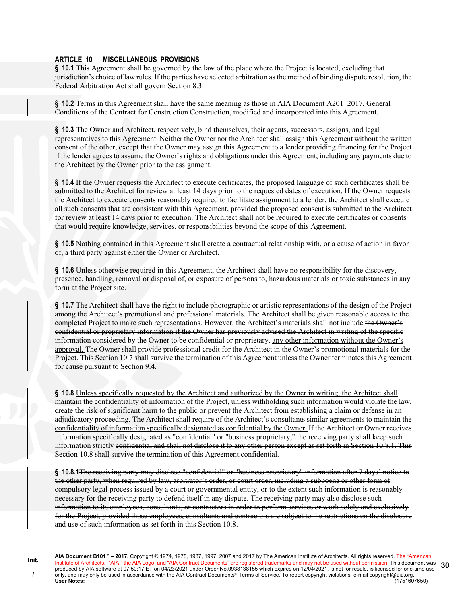#### **ARTICLE 10 MISCELLANEOUS PROVISIONS**

**§ 10.1** This Agreement shall be governed by the law of the place where the Project is located, excluding that jurisdiction's choice of law rules. If the parties have selected arbitration as the method of binding dispute resolution, the Federal Arbitration Act shall govern Section 8.3.

**§ 10.2** Terms in this Agreement shall have the same meaning as those in AIA Document A201–2017, General Conditions of the Contract for Construction.Construction, modified and incorporated into this Agreement.

**§ 10.3** The Owner and Architect, respectively, bind themselves, their agents, successors, assigns, and legal representatives to this Agreement. Neither the Owner nor the Architect shall assign this Agreement without the written consent of the other, except that the Owner may assign this Agreement to a lender providing financing for the Project if the lender agrees to assume the Owner's rights and obligations under this Agreement, including any payments due to the Architect by the Owner prior to the assignment.

**§ 10.4** If the Owner requests the Architect to execute certificates, the proposed language of such certificates shall be submitted to the Architect for review at least 14 days prior to the requested dates of execution. If the Owner requests the Architect to execute consents reasonably required to facilitate assignment to a lender, the Architect shall execute all such consents that are consistent with this Agreement, provided the proposed consent is submitted to the Architect for review at least 14 days prior to execution. The Architect shall not be required to execute certificates or consents that would require knowledge, services, or responsibilities beyond the scope of this Agreement.

**§ 10.5** Nothing contained in this Agreement shall create a contractual relationship with, or a cause of action in favor of, a third party against either the Owner or Architect.

**§ 10.6** Unless otherwise required in this Agreement, the Architect shall have no responsibility for the discovery, presence, handling, removal or disposal of, or exposure of persons to, hazardous materials or toxic substances in any form at the Project site.

**§ 10.7** The Architect shall have the right to include photographic or artistic representations of the design of the Project among the Architect's promotional and professional materials. The Architect shall be given reasonable access to the completed Project to make such representations. However, the Architect's materials shall not include the Owner's confidential or proprietary information if the Owner has previously advised the Architect in writing of the specific information considered by the Owner to be confidential or proprietary. any other information without the Owner's approval. The Owner shall provide professional credit for the Architect in the Owner's promotional materials for the Project. This Section 10.7 shall survive the termination of this Agreement unless the Owner terminates this Agreement for cause pursuant to Section 9.4.

**§ 10.8** Unless specifically requested by the Architect and authorized by the Owner in writing, the Architect shall maintain the confidentiality of information of the Project, unless withholding such information would violate the law, create the risk of significant harm to the public or prevent the Architect from establishing a claim or defense in an adjudicatory proceeding. The Architect shall require of the Architect's consultants similar agreements to maintain the confidentiality of information specifically designated as confidential by the Owner. If the Architect or Owner receives information specifically designated as "confidential" or "business proprietary," the receiving party shall keep such information strictly confidential and shall not disclose it to any other person except as set forth in Section 10.8.1. This Section 10.8 shall survive the termination of this Agreement.confidential.

**§ 10.8.1**The receiving party may disclose "confidential" or "business proprietary" information after 7 days' notice to the other party, when required by law, arbitrator's order, or court order, including a subpoena or other form of compulsory legal process issued by a court or governmental entity, or to the extent such information is reasonably necessary for the receiving party to defend itself in any dispute. The receiving party may also disclose such information to its employees, consultants, or contractors in order to perform services or work solely and exclusively for the Project, provided those employees, consultants and contractors are subject to the restrictions on the disclosure and use of such information as set forth in this Section 10.8.

**AIA Document B101™ – 2017.** Copyright © 1974, 1978, 1987, 1997, 2007 and 2017 by The American Institute of Architects. All rights reserved. The "American Institute of Architects," "AIA," the AIA Logo, and "AIA Contract Documents" are registered trademarks and may not be used without permission. This document was produced by AIA software at 07:50:17 ET on 04/23/2021 under Order No.0938138155 which expires on 12/04/2021, is not for resale, is licensed for one-time use only, and may only be used in accordance with the AIA Contract Documents® Terms of Service. To report copyright violations, e-mail copyright@aia.org. **User Notes:** (1751607650) **30**

**Init. /**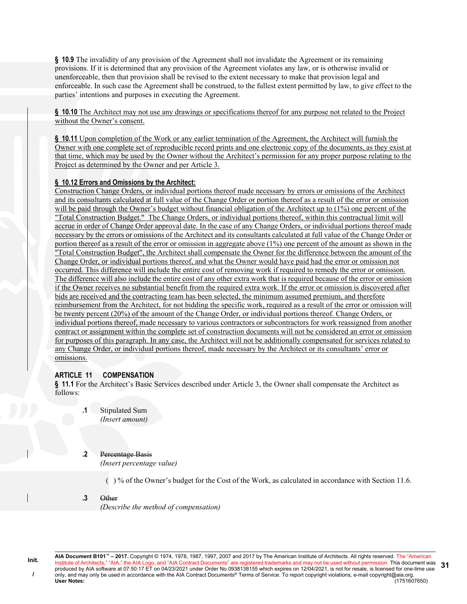**§ 10.9** The invalidity of any provision of the Agreement shall not invalidate the Agreement or its remaining provisions. If it is determined that any provision of the Agreement violates any law, or is otherwise invalid or unenforceable, then that provision shall be revised to the extent necessary to make that provision legal and enforceable. In such case the Agreement shall be construed, to the fullest extent permitted by law, to give effect to the parties' intentions and purposes in executing the Agreement.

**§ 10.10** The Architect may not use any drawings or specifications thereof for any purpose not related to the Project without the Owner's consent.

**§ 10.11** Upon completion of the Work or any earlier termination of the Agreement, the Architect will furnish the Owner with one complete set of reproducible record prints and one electronic copy of the documents, as they exist at that time, which may be used by the Owner without the Architect's permission for any proper purpose relating to the Project as determined by the Owner and per Article 3.

### **§ 10.12 Errors and Omissions by the Architect:**

Construction Change Orders, or individual portions thereof made necessary by errors or omissions of the Architect and its consultants calculated at full value of the Change Order or portion thereof as a result of the error or omission will be paid through the Owner's budget without financial obligation of the Architect up to (1%) one percent of the "Total Construction Budget." The Change Orders, or individual portions thereof, within this contractual limit will accrue in order of Change Order approval date. In the case of any Change Orders, or individual portions thereof made necessary by the errors or omissions of the Architect and its consultants calculated at full value of the Change Order or portion thereof as a result of the error or omission in aggregate above (1%) one percent of the amount as shown in the "Total Construction Budget", the Architect shall compensate the Owner for the difference between the amount of the Change Order, or individual portions thereof, and what the Owner would have paid had the error or omission not occurred. This difference will include the entire cost of removing work if required to remedy the error or omission. The difference will also include the entire cost of any other extra work that is required because of the error or omission if the Owner receives no substantial benefit from the required extra work. If the error or omission is discovered after bids are received and the contracting team has been selected, the minimum assumed premium, and therefore reimbursement from the Architect, for not bidding the specific work, required as a result of the error or omission will be twenty percent (20%) of the amount of the Change Order, or individual portions thereof. Change Orders, or individual portions thereof, made necessary to various contractors or subcontractors for work reassigned from another contract or assignment within the complete set of construction documents will not be considered an error or omission for purposes of this paragraph. In any case, the Architect will not be additionally compensated for services related to any Change Order, or individual portions thereof, made necessary by the Architect or its consultants' error or omissions.

# **ARTICLE 11 COMPENSATION**

**§ 11.1** For the Architect's Basic Services described under Article 3, the Owner shall compensate the Architect as follows:

- **.1** Stipulated Sum *(Insert amount)*
- **.2** Percentage Basis

*(Insert percentage value)*

( ) % of the Owner's budget for the Cost of the Work, as calculated in accordance with Section 11.6.

**.3** Other

*(Describe the method of compensation)*



**AIA Document B101™ – 2017.** Copyright © 1974, 1978, 1987, 1997, 2007 and 2017 by The American Institute of Architects. All rights reserved. The "American Institute of Architects," "AIA," the AIA Logo, and "AIA Contract Documents" are registered trademarks and may not be used without permission. This document was produced by AIA software at 07:50:17 ET on 04/23/2021 under Order No.0938138155 which expires on 12/04/2021, is not for resale, is licensed for one-time use only, and may only be used in accordance with the AIA Contract Documents® Terms of Service. To report copyright violations, e-mail copyright@aia.org. **User Notes:** (1751607650) **31**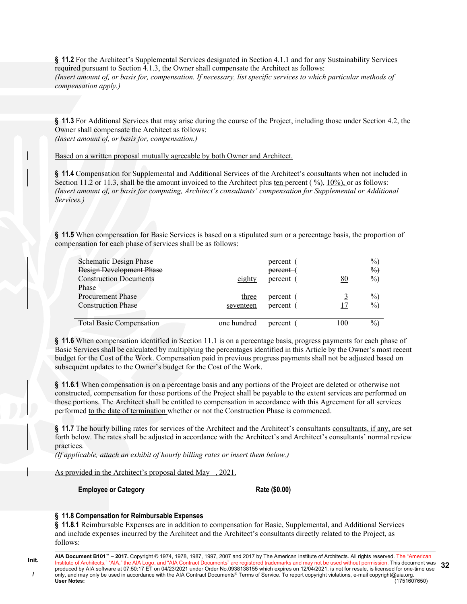**§ 11.2** For the Architect's Supplemental Services designated in Section 4.1.1 and for any Sustainability Services required pursuant to Section 4.1.3, the Owner shall compensate the Architect as follows: *(Insert amount of, or basis for, compensation. If necessary, list specific services to which particular methods of compensation apply.)*

**§ 11.3** For Additional Services that may arise during the course of the Project, including those under Section 4.2, the Owner shall compensate the Architect as follows: *(Insert amount of, or basis for, compensation.)*

Based on a written proposal mutually agreeable by both Owner and Architect.

§ 11.4 Compensation for Supplemental and Additional Services of the Architect's consultants when not included in Section 11.2 or 11.3, shall be the amount invoiced to the Architect plus ten percent ( $\frac{\omega_{0}}{\sqrt{10\%}}$ ), or as follows: *(Insert amount of, or basis for computing, Architect's consultants' compensation for Supplemental or Additional Services.)*

**§ 11.5** When compensation for Basic Services is based on a stipulated sum or a percentage basis, the proportion of compensation for each phase of services shall be as follows:

| <b>Schematic Design Phase</b><br><b>Design Development Phase</b> |             | <del>percent</del><br>percent- |     | $\frac{9}{0}$<br>$\frac{0}{0}$ |
|------------------------------------------------------------------|-------------|--------------------------------|-----|--------------------------------|
| <b>Construction Documents</b>                                    | eighty      | percent (                      | 80  | $\%$                           |
| Phase                                                            |             |                                |     |                                |
| <b>Procurement Phase</b>                                         | three       | percent (                      |     | $\%$                           |
| <b>Construction Phase</b>                                        | seventeen   | percent (                      |     | $\%$                           |
|                                                                  |             |                                |     |                                |
| <b>Total Basic Compensation</b>                                  | one hundred | percent                        | 100 | $\frac{0}{0}$                  |

**§ 11.6** When compensation identified in Section 11.1 is on a percentage basis, progress payments for each phase of Basic Services shall be calculated by multiplying the percentages identified in this Article by the Owner's most recent budget for the Cost of the Work. Compensation paid in previous progress payments shall not be adjusted based on subsequent updates to the Owner's budget for the Cost of the Work.

**§ 11.6.1** When compensation is on a percentage basis and any portions of the Project are deleted or otherwise not constructed, compensation for those portions of the Project shall be payable to the extent services are performed on those portions. The Architect shall be entitled to compensation in accordance with this Agreement for all services performed to the date of termination whether or not the Construction Phase is commenced.

§ 11.7 The hourly billing rates for services of the Architect and the Architect's consultants consultants, if any, are set forth below. The rates shall be adjusted in accordance with the Architect's and Architect's consultants' normal review practices.

*(If applicable, attach an exhibit of hourly billing rates or insert them below.)*

As provided in the Architect's proposal dated May , 2021.

**Employee or Category Rate (\$0.00)** 

# **§ 11.8 Compensation for Reimbursable Expenses**

**§ 11.8.1** Reimbursable Expenses are in addition to compensation for Basic, Supplemental, and Additional Services and include expenses incurred by the Architect and the Architect's consultants directly related to the Project, as follows:

**AIA Document B101™ – 2017.** Copyright © 1974, 1978, 1987, 1997, 2007 and 2017 by The American Institute of Architects. All rights reserved. The "American Institute of Architects," "AIA," the AIA Logo, and "AIA Contract Documents" are registered trademarks and may not be used without permission. This document was produced by AIA software at 07:50:17 ET on 04/23/2021 under Order No.0938138155 which expires on 12/04/2021, is not for resale, is licensed for one-time use only, and may only be used in accordance with the AIA Contract Documents® Terms of Service. To report copyright violations, e-mail copyright@aia.org. **User Notes:** (1751607650) **32**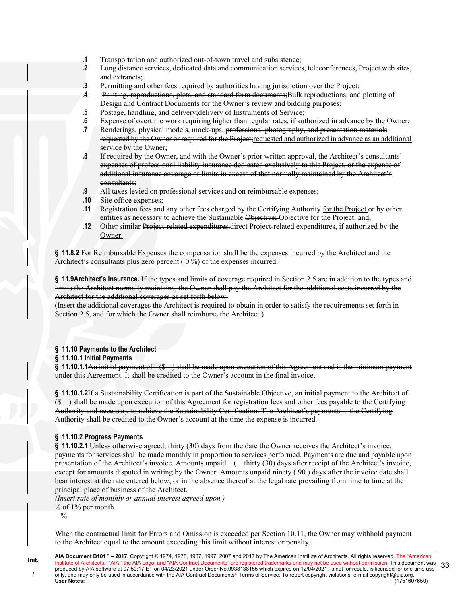- **.1** Transportation and authorized out-of-town travel and subsistence;
- **.2** Long distance services, dedicated data and communication services, teleconferences, Project web sites, and extranets;
- **.3** Permitting and other fees required by authorities having jurisdiction over the Project;
- **.4** Printing, reproductions, plots, and standard form documents;Bulk reproductions, and plotting of Design and Contract Documents for the Owner's review and bidding purposes;
- **.5** Postage, handling, and delivery;delivery of Instruments of Service;
- **.6** Expense of overtime work requiring higher than regular rates, if authorized in advance by the Owner;
- **.7** Renderings, physical models, mock-ups, professional photography, and presentation materials requested by the Owner or required for the Project; requested and authorized in advance as an additional service by the Owner;
- **.8** If required by the Owner, and with the Owner's prior written approval, the Architect's consultants' expenses of professional liability insurance dedicated exclusively to this Project, or the expense of additional insurance coverage or limits in excess of that normally maintained by the Architect's consultants;
- **.9** All taxes levied on professional services and on reimbursable expenses;
- **.10** Site office expenses;
- **.11** Registration fees and any other fees charged by the Certifying Authority for the Project or by other entities as necessary to achieve the Sustainable Objective; Objective for the Project; and,
- **.12** Other similar Project-related expenditures.direct Project-related expenditures, if authorized by the Owner.

**§ 11.8.2** For Reimbursable Expenses the compensation shall be the expenses incurred by the Architect and the Architect's consultants plus zero percent ( 0 %) of the expenses incurred.

**§ 11.9Architect's Insurance.** If the types and limits of coverage required in Section 2.5 are in addition to the types and limits the Architect normally maintains, the Owner shall pay the Architect for the additional costs incurred by the Architect for the additional coverages as set forth below:

(Insert the additional coverages the Architect is required to obtain in order to satisfy the requirements set forth in Section 2.5, and for which the Owner shall reimburse the Architect.)

**§ 11.10 Payments to the Architect**

**§ 11.10.1 Initial Payments**

**§ 11.10.1.1**An initial payment of (\$ ) shall be made upon execution of this Agreement and is the minimum payment under this Agreement. It shall be credited to the Owner's account in the final invoice.

**§ 11.10.1.2**If a Sustainability Certification is part of the Sustainable Objective, an initial payment to the Architect of (\$ ) shall be made upon execution of this Agreement for registration fees and other fees payable to the Certifying Authority and necessary to achieve the Sustainability Certification. The Architect's payments to the Certifying Authority shall be credited to the Owner's account at the time the expense is incurred.

#### **§ 11.10.2 Progress Payments**

**§ 11.10.2.1** Unless otherwise agreed, thirty (30) days from the date the Owner receives the Architect's invoice, payments for services shall be made monthly in proportion to services performed. Payments are due and payable upon presentation of the Architect's invoice. Amounts unpaid ( -thirty (30) days after receipt of the Architect's invoice, except for amounts disputed in writing by the Owner. Amounts unpaid ninety ( 90 ) days after the invoice date shall bear interest at the rate entered below, or in the absence thereof at the legal rate prevailing from time to time at the principal place of business of the Architect.

*(Insert rate of monthly or annual interest agreed upon.)*

 $\frac{1}{2}$  of 1% per month

 $\frac{0}{0}$ 

When the contractual limit for Errors and Omission is exceeded per Section 10.11, the Owner may withhold payment to the Architect equal to the amount exceeding this limit without interest or penalty.

**AIA Document B101™ – 2017.** Copyright © 1974, 1978, 1987, 1997, 2007 and 2017 by The American Institute of Architects. All rights reserved. The "American Institute of Architects," "AIA," the AIA Logo, and "AIA Contract Documents" are registered trademarks and may not be used without permission. This document was produced by AIA software at 07:50:17 ET on 04/23/2021 under Order No.0938138155 which expires on 12/04/2021, is not for resale, is licensed for one-time use only, and may only be used in accordance with the AIA Contract Documents® Terms of Service. To report copyright violations, e-mail copyright@aia.org. **User Notes:** (1751607650) **33**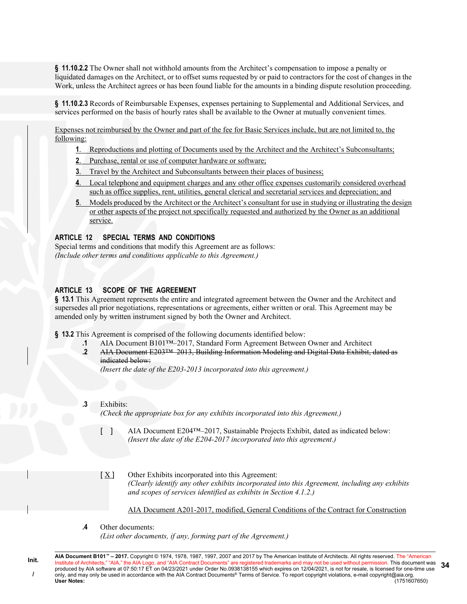**§ 11.10.2.2** The Owner shall not withhold amounts from the Architect's compensation to impose a penalty or liquidated damages on the Architect, or to offset sums requested by or paid to contractors for the cost of changes in the Work, unless the Architect agrees or has been found liable for the amounts in a binding dispute resolution proceeding.

**§ 11.10.2.3** Records of Reimbursable Expenses, expenses pertaining to Supplemental and Additional Services, and services performed on the basis of hourly rates shall be available to the Owner at mutually convenient times.

Expenses not reimbursed by the Owner and part of the fee for Basic Services include, but are not limited to, the following:

- **1**. Reproductions and plotting of Documents used by the Architect and the Architect's Subconsultants;
- **2.** Purchase, rental or use of computer hardware or software;
- **3**. Travel by the Architect and Subconsultants between their places of business;
- **4**. Local telephone and equipment charges and any other office expenses customarily considered overhead such as office supplies, rent, utilities, general clerical and secretarial services and depreciation; and
- **5**. Models produced by the Architect or the Architect's consultant for use in studying or illustrating the design or other aspects of the project not specifically requested and authorized by the Owner as an additional service.

#### **ARTICLE 12 SPECIAL TERMS AND CONDITIONS**

Special terms and conditions that modify this Agreement are as follows: *(Include other terms and conditions applicable to this Agreement.)*

#### **ARTICLE 13 SCOPE OF THE AGREEMENT**

**§ 13.1** This Agreement represents the entire and integrated agreement between the Owner and the Architect and supersedes all prior negotiations, representations or agreements, either written or oral. This Agreement may be amended only by written instrument signed by both the Owner and Architect.

**§ 13.2** This Agreement is comprised of the following documents identified below:

- **.1** AIA Document B101™–2017, Standard Form Agreement Between Owner and Architect
- **.2** AIA Document E203™–2013, Building Information Modeling and Digital Data Exhibit, dated as indicated below:

*(Insert the date of the E203-2013 incorporated into this agreement.)*

**.3** Exhibits:

*(Check the appropriate box for any exhibits incorporated into this Agreement.)*

- [ ] AIA Document E204™–2017, Sustainable Projects Exhibit, dated as indicated below: *(Insert the date of the E204-2017 incorporated into this agreement.)*
- $[X]$  Other Exhibits incorporated into this Agreement: *(Clearly identify any other exhibits incorporated into this Agreement, including any exhibits and scopes of services identified as exhibits in Section 4.1.2.)*

#### AIA Document A201-2017, modified, General Conditions of the Contract for Construction

**.4** Other documents: *(List other documents, if any, forming part of the Agreement.)*

**AIA Document B101™ – 2017.** Copyright © 1974, 1978, 1987, 1997, 2007 and 2017 by The American Institute of Architects. All rights reserved. The "American Institute of Architects," "AIA," the AIA Logo, and "AIA Contract Documents" are registered trademarks and may not be used without permission. This document was produced by AIA software at 07:50:17 ET on 04/23/2021 under Order No.0938138155 which expires on 12/04/2021, is not for resale, is licensed for one-time use only, and may only be used in accordance with the AIA Contract Documents® Terms of Service. To report copyright violations, e-mail copyright@aia.org.<br>User Notes: (1751607650) **User Notes:** (1751607650) **34**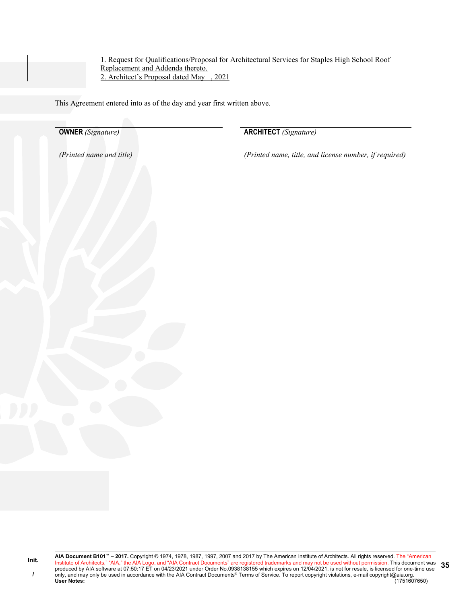1. Request for Qualifications/Proposal for Architectural Services for Staples High School Roof Replacement and Addenda thereto. 2. Architect's Proposal dated May , 2021

This Agreement entered into as of the day and year first written above.

**OWNER** *(Signature)* **ARCHITECT** *(Signature)* 

*(Printed name and title) (Printed name, title, and license number, if required)*